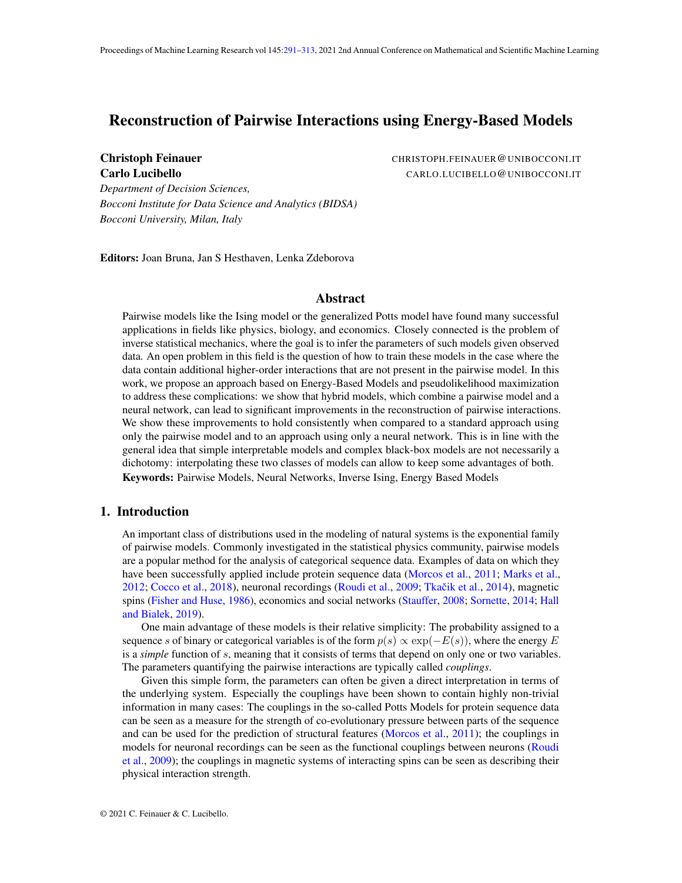# <span id="page-0-0"></span>Reconstruction of Pairwise Interactions using Energy-Based Models

Christoph Feinauer CHRISTOPH.FEINAUER@UNIBOCCONI.IT Carlo Lucibello CARLO.LUCIBELLO@UNIBOCCONI.IT

*Department of Decision Sciences, Bocconi Institute for Data Science and Analytics (BIDSA) Bocconi University, Milan, Italy*

Editors: Joan Bruna, Jan S Hesthaven, Lenka Zdeborova

### **Abstract**

Pairwise models like the Ising model or the generalized Potts model have found many successful applications in fields like physics, biology, and economics. Closely connected is the problem of inverse statistical mechanics, where the goal is to infer the parameters of such models given observed data. An open problem in this field is the question of how to train these models in the case where the data contain additional higher-order interactions that are not present in the pairwise model. In this work, we propose an approach based on Energy-Based Models and pseudolikelihood maximization to address these complications: we show that hybrid models, which combine a pairwise model and a neural network, can lead to significant improvements in the reconstruction of pairwise interactions. We show these improvements to hold consistently when compared to a standard approach using only the pairwise model and to an approach using only a neural network. This is in line with the general idea that simple interpretable models and complex black-box models are not necessarily a dichotomy: interpolating these two classes of models can allow to keep some advantages of both. Keywords: Pairwise Models, Neural Networks, Inverse Ising, Energy Based Models

# 1. Introduction

An important class of distributions used in the modeling of natural systems is the exponential family of pairwise models. Commonly investigated in the statistical physics community, pairwise models are a popular method for the analysis of categorical sequence data. Examples of data on which they have been successfully applied include protein sequence data [\(Morcos et al.,](#page-14-0) [2011;](#page-14-0) [Marks et al.,](#page-14-1) [2012;](#page-14-1) [Cocco et al.,](#page-12-0) [2018\)](#page-12-0), neuronal recordings [\(Roudi et al.,](#page-15-0) [2009;](#page-15-0) Tkačik et al., [2014\)](#page-15-1), magnetic spins [\(Fisher and Huse,](#page-13-0) [1986\)](#page-13-0), economics and social networks [\(Stauffer,](#page-15-2) [2008;](#page-15-2) [Sornette,](#page-15-3) [2014;](#page-15-3) [Hall](#page-13-1) [and Bialek,](#page-13-1) [2019\)](#page-13-1).

One main advantage of these models is their relative simplicity: The probability assigned to a sequence s of binary or categorical variables is of the form  $p(s) \propto \exp(-E(s))$ , where the energy E is a *simple* function of s, meaning that it consists of terms that depend on only one or two variables. The parameters quantifying the pairwise interactions are typically called *couplings*.

Given this simple form, the parameters can often be given a direct interpretation in terms of the underlying system. Especially the couplings have been shown to contain highly non-trivial information in many cases: The couplings in the so-called Potts Models for protein sequence data can be seen as a measure for the strength of co-evolutionary pressure between parts of the sequence and can be used for the prediction of structural features [\(Morcos et al.,](#page-14-0) [2011\)](#page-14-0); the couplings in models for neuronal recordings can be seen as the functional couplings between neurons [\(Roudi](#page-15-0)ngs) [et al.,](#page-15-0) [2009\)](#page-15-0); the couplings in magnetic systems of interacting spins can be seen as describing their physical interaction strength.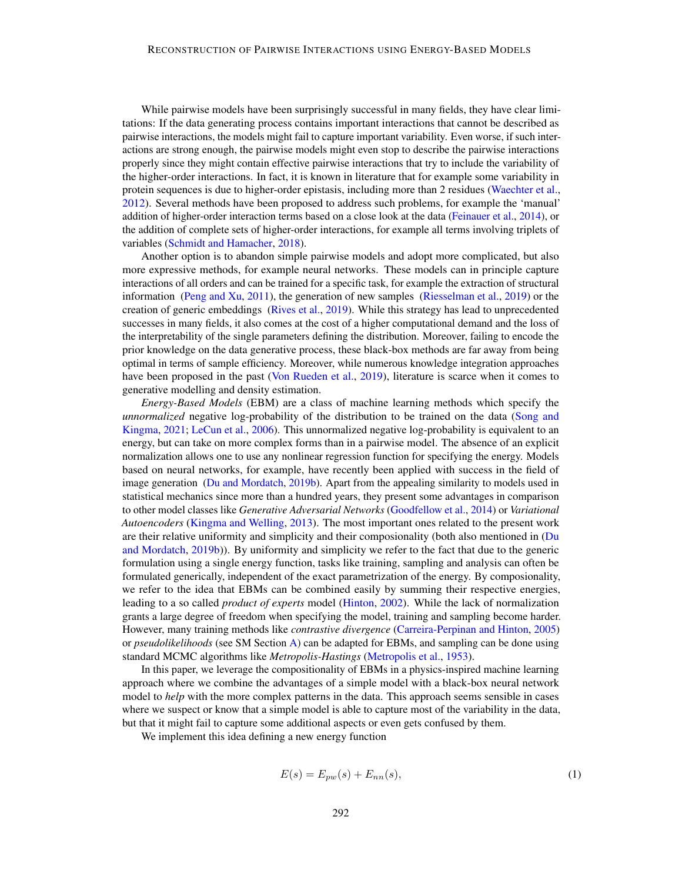While pairwise models have been surprisingly successful in many fields, they have clear limitations: If the data generating process contains important interactions that cannot be described as pairwise interactions, the models might fail to capture important variability. Even worse, if such interactions are strong enough, the pairwise models might even stop to describe the pairwise interactions properly since they might contain effective pairwise interactions that try to include the variability of the higher-order interactions. In fact, it is known in literature that for example some variability in protein sequences is due to higher-order epistasis, including more than 2 residues [\(Waechter et al.,](#page-15-4) [2012\)](#page-15-4). Several methods have been proposed to address such problems, for example the 'manual' addition of higher-order interaction terms based on a close look at the data [\(Feinauer et al.,](#page-13-2) [2014\)](#page-13-2), or the addition of complete sets of higher-order interactions, for example all terms involving triplets of variables [\(Schmidt and Hamacher,](#page-15-5) [2018\)](#page-15-5).

Another option is to abandon simple pairwise models and adopt more complicated, but also more expressive methods, for example neural networks. These models can in principle capture interactions of all orders and can be trained for a specific task, for example the extraction of structural information [\(Peng and Xu,](#page-14-2) [2011\)](#page-14-2), the generation of new samples [\(Riesselman et al.,](#page-15-6) [2019\)](#page-15-6) or the creation of generic embeddings [\(Rives et al.,](#page-15-7) [2019\)](#page-15-7). While this strategy has lead to unprecedented successes in many fields, it also comes at the cost of a higher computational demand and the loss of the interpretability of the single parameters defining the distribution. Moreover, failing to encode the prior knowledge on the data generative process, these black-box methods are far away from being optimal in terms of sample efficiency. Moreover, while numerous knowledge integration approaches have been proposed in the past [\(Von Rueden et al.,](#page-15-8) [2019\)](#page-15-8), literature is scarce when it comes to generative modelling and density estimation.

*Energy-Based Models* (EBM) are a class of machine learning methods which specify the *unnormalized* negative log-probability of the distribution to be trained on the data [\(Song and](#page-15-9) [Kingma,](#page-15-9) [2021;](#page-15-9) [LeCun et al.,](#page-14-3) [2006\)](#page-14-3). This unnormalized negative log-probability is equivalent to an energy, but can take on more complex forms than in a pairwise model. The absence of an explicit normalization allows one to use any nonlinear regression function for specifying the energy. Models based on neural networks, for example, have recently been applied with success in the field of image generation [\(Du and Mordatch,](#page-13-3) [2019b\)](#page-13-3). Apart from the appealing similarity to models used in statistical mechanics since more than a hundred years, they present some advantages in comparison to other model classes like *Generative Adversarial Networks* [\(Goodfellow et al.,](#page-13-4) [2014\)](#page-13-4) or *Variational Autoencoders* [\(Kingma and Welling,](#page-14-4) [2013\)](#page-14-4). The most important ones related to the present work are their relative uniformity and simplicity and their composionality (both also mentioned in [\(Du](#page-13-3) [and Mordatch,](#page-13-3) [2019b\)](#page-13-3)). By uniformity and simplicity we refer to the fact that due to the generic formulation using a single energy function, tasks like training, sampling and analysis can often be formulated generically, independent of the exact parametrization of the energy. By composionality, we refer to the idea that EBMs can be combined easily by summing their respective energies, leading to a so called *product of experts* model [\(Hinton,](#page-13-5) [2002\)](#page-13-5). While the lack of normalization grants a large degree of freedom when specifying the model, training and sampling become harder. However, many training methods like *contrastive divergence* [\(Carreira-Perpinan and Hinton,](#page-12-1) [2005\)](#page-12-1) or *pseudolikelihoods* (see SM Section [A\)](#page-16-0) can be adapted for EBMs, and sampling can be done using standard MCMC algorithms like *Metropolis-Hastings* [\(Metropolis et al.,](#page-14-5) [1953\)](#page-14-5).

In this paper, we leverage the compositionality of EBMs in a physics-inspired machine learning approach where we combine the advantages of a simple model with a black-box neural network model to *help* with the more complex patterns in the data. This approach seems sensible in cases where we suspect or know that a simple model is able to capture most of the variability in the data, but that it might fail to capture some additional aspects or even gets confused by them.

We implement this idea defining a new energy function

$$
E(s) = E_{pw}(s) + E_{nn}(s),\tag{1}
$$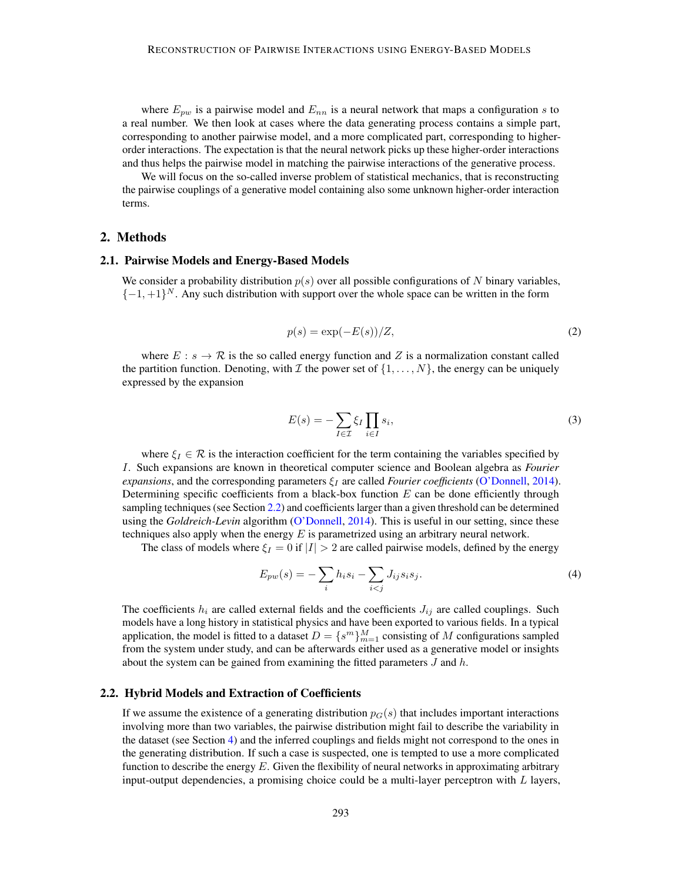where  $E_{pw}$  is a pairwise model and  $E_{nn}$  is a neural network that maps a configuration s to a real number. We then look at cases where the data generating process contains a simple part, corresponding to another pairwise model, and a more complicated part, corresponding to higherorder interactions. The expectation is that the neural network picks up these higher-order interactions and thus helps the pairwise model in matching the pairwise interactions of the generative process.

We will focus on the so-called inverse problem of statistical mechanics, that is reconstructing the pairwise couplings of a generative model containing also some unknown higher-order interaction terms.

#### 2. Methods

#### 2.1. Pairwise Models and Energy-Based Models

We consider a probability distribution  $p(s)$  over all possible configurations of N binary variables,  $\{-1,+1\}^N$ . Any such distribution with support over the whole space can be written in the form

$$
p(s) = \exp(-E(s))/Z,\tag{2}
$$

where  $E : s \to \mathcal{R}$  is the so called energy function and Z is a normalization constant called the partition function. Denoting, with  $\mathcal I$  the power set of  $\{1,\ldots,N\}$ , the energy can be uniquely expressed by the expansion

<span id="page-2-1"></span>
$$
E(s) = -\sum_{I \in \mathcal{I}} \xi_I \prod_{i \in I} s_i,\tag{3}
$$

where  $\xi_I \in \mathcal{R}$  is the interaction coefficient for the term containing the variables specified by I. Such expansions are known in theoretical computer science and Boolean algebra as *Fourier expansions*, and the corresponding parameters  $\xi_I$  are called *Fourier coefficients* [\(O'Donnell,](#page-14-6) [2014\)](#page-14-6). Determining specific coefficients from a black-box function  $E$  can be done efficiently through sampling techniques (see Section [2.2\)](#page-2-0) and coefficients larger than a given threshold can be determined using the *Goldreich-Levin* algorithm [\(O'Donnell,](#page-14-6) [2014\)](#page-14-6). This is useful in our setting, since these techniques also apply when the energy  $E$  is parametrized using an arbitrary neural network.

The class of models where  $\xi_I = 0$  if  $|I| > 2$  are called pairwise models, defined by the energy

$$
E_{pw}(s) = -\sum_{i} h_i s_i - \sum_{i < j} J_{ij} s_i s_j. \tag{4}
$$

The coefficients  $h_i$  are called external fields and the coefficients  $J_{ij}$  are called couplings. Such models have a long history in statistical physics and have been exported to various fields. In a typical application, the model is fitted to a dataset  $D = \{s^m\}_{m=1}^M$  consisting of M configurations sampled from the system under study, and can be afterwards either used as a generative model or insights about the system can be gained from examining the fitted parameters  $J$  and  $h$ .

#### <span id="page-2-0"></span>2.2. Hybrid Models and Extraction of Coefficients

If we assume the existence of a generating distribution  $p_G(s)$  that includes important interactions involving more than two variables, the pairwise distribution might fail to describe the variability in the dataset (see Section [4\)](#page-6-0) and the inferred couplings and fields might not correspond to the ones in the generating distribution. If such a case is suspected, one is tempted to use a more complicated function to describe the energy  $E$ . Given the flexibility of neural networks in approximating arbitrary input-output dependencies, a promising choice could be a multi-layer perceptron with  $L$  layers,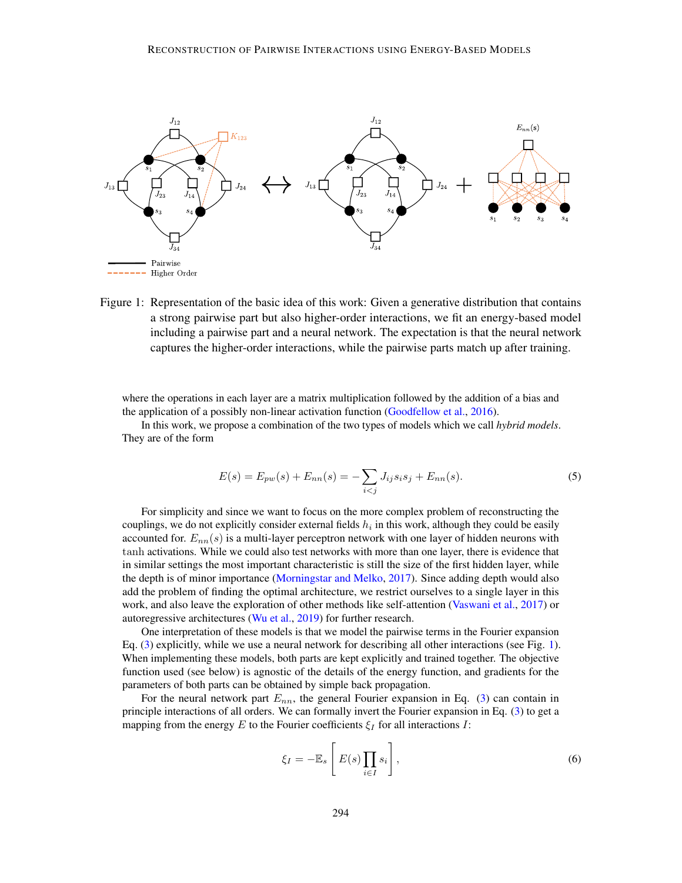

Figure 1: Representation of the basic idea of this work: Given a generative distribution that contains a strong pairwise part but also higher-order interactions, we fit an energy-based model including a pairwise part and a neural network. The expectation is that the neural network captures the higher-order interactions, while the pairwise parts match up after training.

where the operations in each layer are a matrix multiplication followed by the addition of a bias and the application of a possibly non-linear activation function [\(Goodfellow et al.,](#page-13-6) [2016\)](#page-13-6).

In this work, we propose a combination of the two types of models which we call *hybrid models*. They are of the form

<span id="page-3-2"></span><span id="page-3-0"></span>
$$
E(s) = E_{pw}(s) + E_{nn}(s) = -\sum_{i < j} J_{ij} s_i s_j + E_{nn}(s). \tag{5}
$$

For simplicity and since we want to focus on the more complex problem of reconstructing the couplings, we do not explicitly consider external fields  $h_i$  in this work, although they could be easily accounted for.  $E_{nn}(s)$  is a multi-layer perceptron network with one layer of hidden neurons with tanh activations. While we could also test networks with more than one layer, there is evidence that in similar settings the most important characteristic is still the size of the first hidden layer, while the depth is of minor importance [\(Morningstar and Melko,](#page-14-7) [2017\)](#page-14-7). Since adding depth would also add the problem of finding the optimal architecture, we restrict ourselves to a single layer in this work, and also leave the exploration of other methods like self-attention [\(Vaswani et al.,](#page-15-10) [2017\)](#page-15-10) or autoregressive architectures [\(Wu et al.,](#page-15-11) [2019\)](#page-15-11) for further research.

One interpretation of these models is that we model the pairwise terms in the Fourier expansion Eq. [\(3\)](#page-2-1) explicitly, while we use a neural network for describing all other interactions (see Fig. [1\)](#page-3-0). When implementing these models, both parts are kept explicitly and trained together. The objective function used (see below) is agnostic of the details of the energy function, and gradients for the parameters of both parts can be obtained by simple back propagation.

For the neural network part  $E_{nn}$ , the general Fourier expansion in Eq. [\(3\)](#page-2-1) can contain in principle interactions of all orders. We can formally invert the Fourier expansion in Eq. [\(3\)](#page-2-1) to get a mapping from the energy E to the Fourier coefficients  $\xi_I$  for all interactions I:

<span id="page-3-1"></span>
$$
\xi_I = -\mathbb{E}_s \left[ E(s) \prod_{i \in I} s_i \right],\tag{6}
$$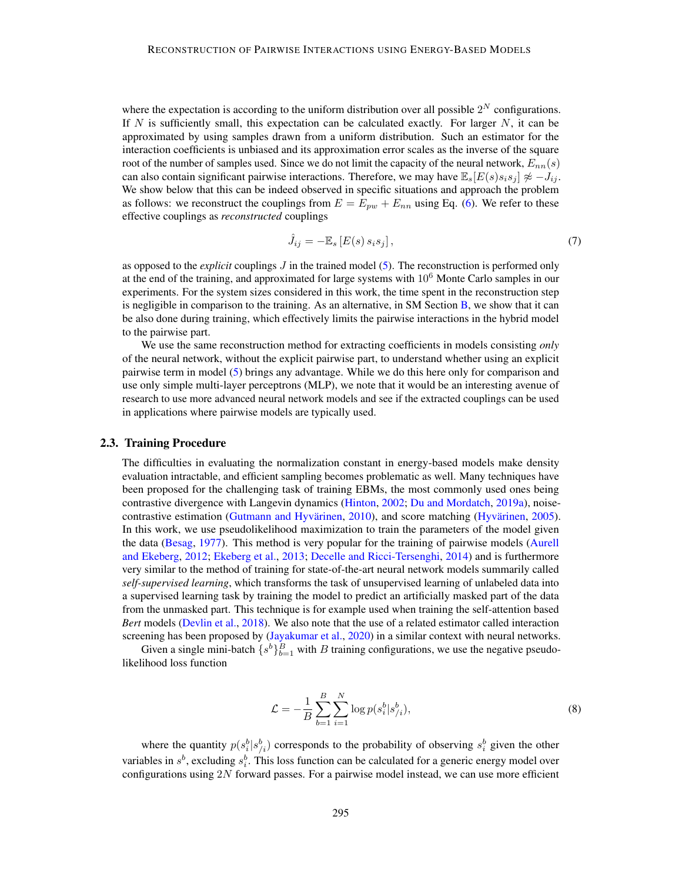where the expectation is according to the uniform distribution over all possible  $2^N$  configurations. If N is sufficiently small, this expectation can be calculated exactly. For larger  $N$ , it can be approximated by using samples drawn from a uniform distribution. Such an estimator for the interaction coefficients is unbiased and its approximation error scales as the inverse of the square root of the number of samples used. Since we do not limit the capacity of the neural network,  $E_{nn}(s)$ can also contain significant pairwise interactions. Therefore, we may have  $\mathbb{E}_s[E(s)s_i s_j] \not\approx -J_{ij}$ . We show below that this can be indeed observed in specific situations and approach the problem as follows: we reconstruct the couplings from  $E = E_{pw} + E_{nn}$  using Eq. [\(6\)](#page-3-1). We refer to these effective couplings as *reconstructed* couplings

<span id="page-4-1"></span>
$$
\hat{J}_{ij} = -\mathbb{E}_s \left[ E(s) \, s_i s_j \right],\tag{7}
$$

as opposed to the *explicit* couplings J in the trained model [\(5\)](#page-3-2). The reconstruction is performed only at the end of the training, and approximated for large systems with  $10<sup>6</sup>$  Monte Carlo samples in our experiments. For the system sizes considered in this work, the time spent in the reconstruction step is negligible in comparison to the training. As an alternative, in SM Section  $\overline{B}$ , we show that it can be also done during training, which effectively limits the pairwise interactions in the hybrid model to the pairwise part.

We use the same reconstruction method for extracting coefficients in models consisting *only* of the neural network, without the explicit pairwise part, to understand whether using an explicit pairwise term in model [\(5\)](#page-3-2) brings any advantage. While we do this here only for comparison and use only simple multi-layer perceptrons (MLP), we note that it would be an interesting avenue of research to use more advanced neural network models and see if the extracted couplings can be used in applications where pairwise models are typically used.

### <span id="page-4-0"></span>2.3. Training Procedure

The difficulties in evaluating the normalization constant in energy-based models make density evaluation intractable, and efficient sampling becomes problematic as well. Many techniques have been proposed for the challenging task of training EBMs, the most commonly used ones being contrastive divergence with Langevin dynamics [\(Hinton,](#page-13-5) [2002;](#page-13-5) [Du and Mordatch,](#page-13-7) [2019a\)](#page-13-7), noisecontrastive estimation [\(Gutmann and Hyvärinen,](#page-13-8) [2010\)](#page-13-8), and score matching [\(Hyvärinen,](#page-14-8) [2005\)](#page-14-8). In this work, we use pseudolikelihood maximization to train the parameters of the model given the data [\(Besag,](#page-12-2) [1977\)](#page-12-2). This method is very popular for the training of pairwise models [\(Aurell](#page-12-3) [and Ekeberg,](#page-12-3) [2012;](#page-12-3) [Ekeberg et al.,](#page-13-9) [2013;](#page-13-9) [Decelle and Ricci-Tersenghi,](#page-13-10) [2014\)](#page-13-10) and is furthermore very similar to the method of training for state-of-the-art neural network models summarily called *self-supervised learning*, which transforms the task of unsupervised learning of unlabeled data into a supervised learning task by training the model to predict an artificially masked part of the data from the unmasked part. This technique is for example used when training the self-attention based *Bert* models [\(Devlin et al.,](#page-13-11) [2018\)](#page-13-11). We also note that the use of a related estimator called interaction screening has been proposed by [\(Jayakumar et al.,](#page-14-9) [2020\)](#page-14-9) in a similar context with neural networks.

Given a single mini-batch  $\{s^b\}_{b=1}^B$  with B training configurations, we use the negative pseudolikelihood loss function

$$
\mathcal{L} = -\frac{1}{B} \sum_{b=1}^{B} \sum_{i=1}^{N} \log p(s_i^b | s_{/i}^b), \tag{8}
$$

where the quantity  $p(s_i^b|s_{i}^b)$  corresponds to the probability of observing  $s_i^b$  given the other variables in  $s^b$ , excluding  $s_i^b$ . This loss function can be calculated for a generic energy model over configurations using  $2N$  forward passes. For a pairwise model instead, we can use more efficient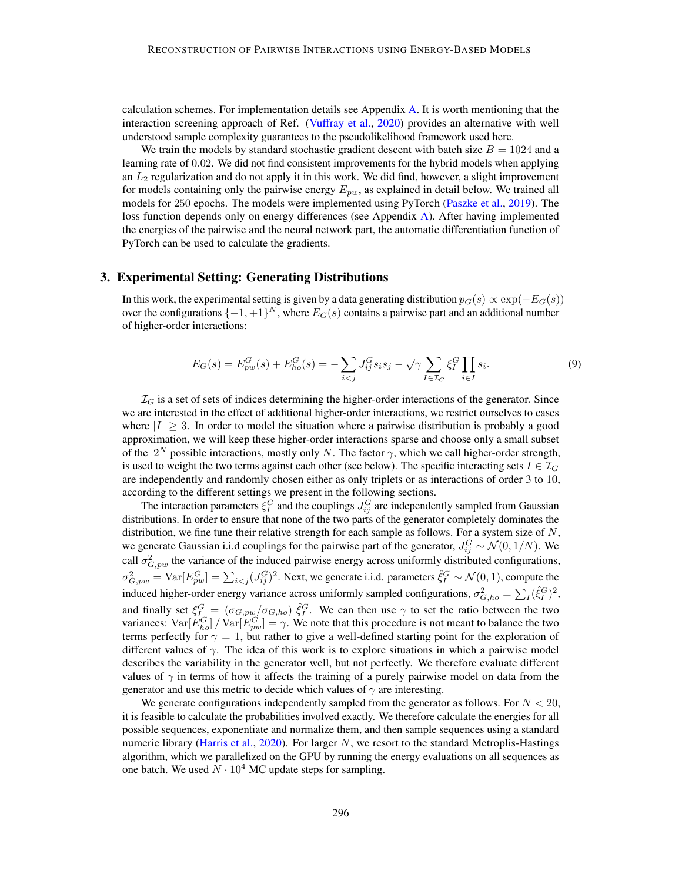calculation schemes. For implementation details see Appendix [A.](#page-16-0) It is worth mentioning that the interaction screening approach of Ref. [\(Vuffray et al.,](#page-15-12) [2020\)](#page-15-12) provides an alternative with well understood sample complexity guarantees to the pseudolikelihood framework used here.

We train the models by standard stochastic gradient descent with batch size  $B = 1024$  and a learning rate of 0.02. We did not find consistent improvements for the hybrid models when applying an  $L_2$  regularization and do not apply it in this work. We did find, however, a slight improvement for models containing only the pairwise energy  $E_{pw}$ , as explained in detail below. We trained all models for 250 epochs. The models were implemented using PyTorch [\(Paszke et al.,](#page-14-10) [2019\)](#page-14-10). The loss function depends only on energy differences (see Appendix [A\)](#page-16-0). After having implemented the energies of the pairwise and the neural network part, the automatic differentiation function of PyTorch can be used to calculate the gradients.

# <span id="page-5-1"></span>3. Experimental Setting: Generating Distributions

In this work, the experimental setting is given by a data generating distribution  $p_G(s) \propto \exp(-E_G(s))$ over the configurations  $\{-1,+1\}^N$ , where  $E_G(s)$  contains a pairwise part and an additional number of higher-order interactions:

<span id="page-5-0"></span>
$$
E_G(s) = E_{pw}^G(s) + E_{ho}^G(s) = -\sum_{i < j} J_{ij}^G s_i s_j - \sqrt{\gamma} \sum_{I \in \mathcal{I}_G} \xi_I^G \prod_{i \in I} s_i. \tag{9}
$$

 $\mathcal{I}_G$  is a set of sets of indices determining the higher-order interactions of the generator. Since we are interested in the effect of additional higher-order interactions, we restrict ourselves to cases where  $|I| > 3$ . In order to model the situation where a pairwise distribution is probably a good approximation, we will keep these higher-order interactions sparse and choose only a small subset of the  $2^N$  possible interactions, mostly only N. The factor  $\gamma$ , which we call higher-order strength, is used to weight the two terms against each other (see below). The specific interacting sets  $I \in \mathcal{I}_G$ are independently and randomly chosen either as only triplets or as interactions of order 3 to 10, according to the different settings we present in the following sections.

The interaction parameters  $\xi_I^G$  and the couplings  $J_{ij}^G$  are independently sampled from Gaussian distributions. In order to ensure that none of the two parts of the generator completely dominates the distribution, we fine tune their relative strength for each sample as follows. For a system size of  $N$ , we generate Gaussian i.i.d couplings for the pairwise part of the generator,  $J_{ij}^G \sim \mathcal{N}(0, 1/N)$ . We call  $\sigma_{G,pw}^2$  the variance of the induced pairwise energy across uniformly distributed configurations,  $\sigma_{G,pw}^2 = \text{Var}[E_{pw}^G] = \sum_{i < j} (J_{ij}^G)^2$ . Next, we generate i.i.d. parameters  $\hat{\xi}_I^G \sim \mathcal{N}(0,1)$ , compute the induced higher-order energy variance across uniformly sampled configurations,  $\sigma_{G,ho}^2 = \sum_I (\hat{\xi}_I^G)^2$ , and finally set  $\xi_{I}^G = (\sigma_{G, pw}/\sigma_{G, ho}) \hat{\xi}_I^G$ . We can then use  $\gamma$  to set the ratio between the two variances:  $Var[\tilde{E}_{ho}^G] / Var[\tilde{E}_{pw}^G] = \gamma$ . We note that this procedure is not meant to balance the two terms perfectly for  $\gamma = 1$ , but rather to give a well-defined starting point for the exploration of different values of  $\gamma$ . The idea of this work is to explore situations in which a pairwise model describes the variability in the generator well, but not perfectly. We therefore evaluate different values of  $\gamma$  in terms of how it affects the training of a purely pairwise model on data from the generator and use this metric to decide which values of  $\gamma$  are interesting.

We generate configurations independently sampled from the generator as follows. For  $N < 20$ , it is feasible to calculate the probabilities involved exactly. We therefore calculate the energies for all possible sequences, exponentiate and normalize them, and then sample sequences using a standard numeric library [\(Harris et al.,](#page-13-12) [2020\)](#page-13-12). For larger  $N$ , we resort to the standard Metroplis-Hastings algorithm, which we parallelized on the GPU by running the energy evaluations on all sequences as one batch. We used  $N \cdot 10^4$  MC update steps for sampling.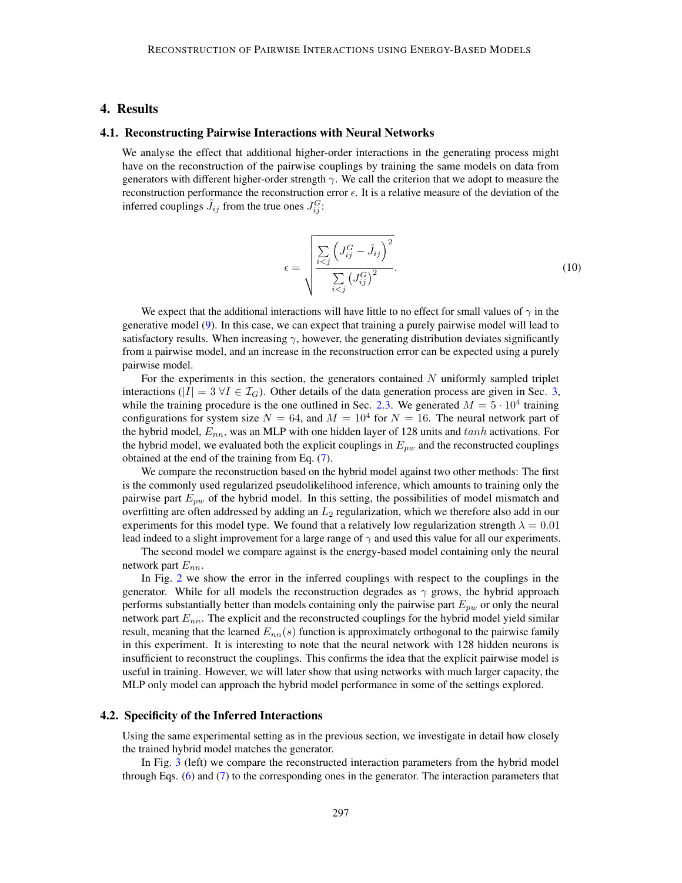# <span id="page-6-0"></span>4. Results

#### 4.1. Reconstructing Pairwise Interactions with Neural Networks

We analyse the effect that additional higher-order interactions in the generating process might have on the reconstruction of the pairwise couplings by training the same models on data from generators with different higher-order strength  $\gamma$ . We call the criterion that we adopt to measure the reconstruction performance the reconstruction error  $\epsilon$ . It is a relative measure of the deviation of the inferred couplings  $\hat{J}_{ij}$  from the true ones  $J_{ij}^G$ :

<span id="page-6-1"></span>
$$
\epsilon = \sqrt{\frac{\sum\limits_{i < j} \left( J_{ij}^G - \hat{J}_{ij} \right)^2}{\sum\limits_{i < j} \left( J_{ij}^G \right)^2}}.
$$
\n
$$
(10)
$$

We expect that the additional interactions will have little to no effect for small values of  $\gamma$  in the generative model [\(9\)](#page-5-0). In this case, we can expect that training a purely pairwise model will lead to satisfactory results. When increasing  $\gamma$ , however, the generating distribution deviates significantly from a pairwise model, and an increase in the reconstruction error can be expected using a purely pairwise model.

For the experiments in this section, the generators contained  $N$  uniformly sampled triplet interactions (|I| =  $3 \forall I \in \mathcal{I}_G$ ). Other details of the data generation process are given in Sec. [3,](#page-5-1) while the training procedure is the one outlined in Sec. [2.3.](#page-4-0) We generated  $M = 5 \cdot 10^4$  training configurations for system size  $N = 64$ , and  $M = 10^4$  for  $N = 16$ . The neural network part of the hybrid model,  $E_{nn}$ , was an MLP with one hidden layer of 128 units and  $tanh$  activations. For the hybrid model, we evaluated both the explicit couplings in  $E_{pw}$  and the reconstructed couplings obtained at the end of the training from Eq. [\(7\)](#page-4-1).

We compare the reconstruction based on the hybrid model against two other methods: The first is the commonly used regularized pseudolikelihood inference, which amounts to training only the pairwise part  $E_{pw}$  of the hybrid model. In this setting, the possibilities of model mismatch and overfitting are often addressed by adding an  $L_2$  regularization, which we therefore also add in our experiments for this model type. We found that a relatively low regularization strength  $\lambda = 0.01$ lead indeed to a slight improvement for a large range of  $\gamma$  and used this value for all our experiments.

The second model we compare against is the energy-based model containing only the neural network part  $E_{nn}$ .

In Fig. [2](#page-7-0) we show the error in the inferred couplings with respect to the couplings in the generator. While for all models the reconstruction degrades as  $\gamma$  grows, the hybrid approach performs substantially better than models containing only the pairwise part  $E_{pw}$  or only the neural network part  $E_{nn}$ . The explicit and the reconstructed couplings for the hybrid model yield similar result, meaning that the learned  $E_{nn}(s)$  function is approximately orthogonal to the pairwise family in this experiment. It is interesting to note that the neural network with 128 hidden neurons is insufficient to reconstruct the couplings. This confirms the idea that the explicit pairwise model is useful in training. However, we will later show that using networks with much larger capacity, the MLP only model can approach the hybrid model performance in some of the settings explored.

### 4.2. Specificity of the Inferred Interactions

Using the same experimental setting as in the previous section, we investigate in detail how closely the trained hybrid model matches the generator.

In Fig. [3](#page-8-0) (left) we compare the reconstructed interaction parameters from the hybrid model through Eqs. [\(6\)](#page-3-1) and [\(7\)](#page-4-1) to the corresponding ones in the generator. The interaction parameters that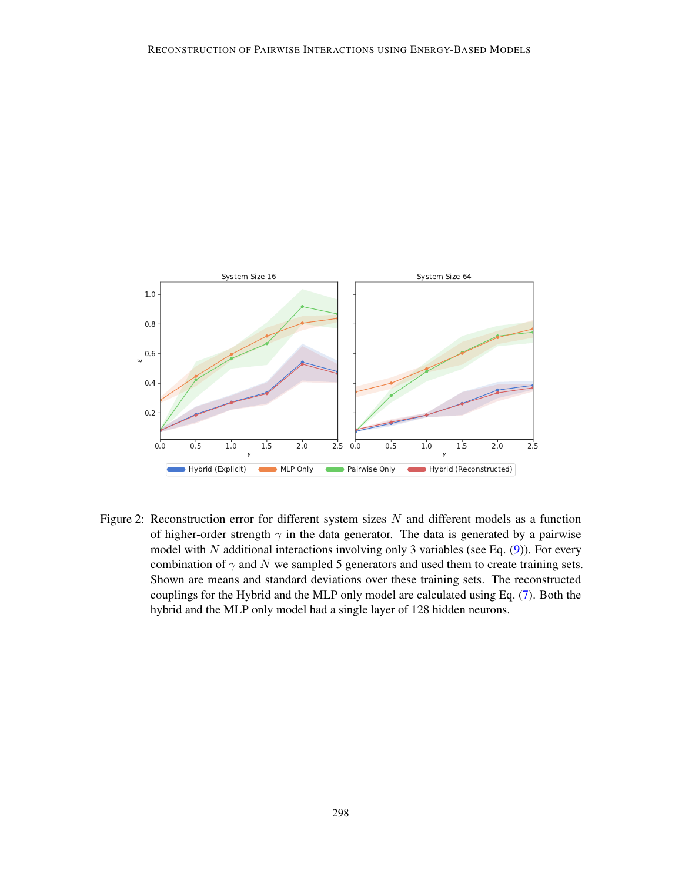

<span id="page-7-0"></span>Figure 2: Reconstruction error for different system sizes  $N$  and different models as a function of higher-order strength  $\gamma$  in the data generator. The data is generated by a pairwise model with  $N$  additional interactions involving only 3 variables (see Eq.  $(9)$ ). For every combination of  $\gamma$  and N we sampled 5 generators and used them to create training sets. Shown are means and standard deviations over these training sets. The reconstructed couplings for the Hybrid and the MLP only model are calculated using Eq. [\(7\)](#page-4-1). Both the hybrid and the MLP only model had a single layer of 128 hidden neurons.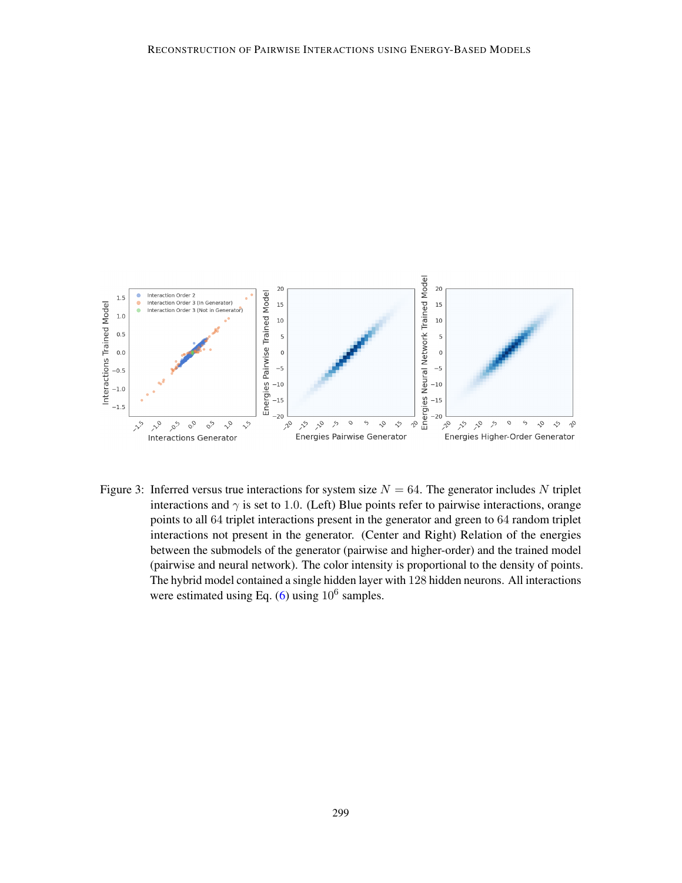

<span id="page-8-0"></span>Figure 3: Inferred versus true interactions for system size  $N = 64$ . The generator includes N triplet interactions and  $\gamma$  is set to 1.0. (Left) Blue points refer to pairwise interactions, orange points to all 64 triplet interactions present in the generator and green to 64 random triplet interactions not present in the generator. (Center and Right) Relation of the energies between the submodels of the generator (pairwise and higher-order) and the trained model (pairwise and neural network). The color intensity is proportional to the density of points. The hybrid model contained a single hidden layer with 128 hidden neurons. All interactions were estimated using Eq.  $(6)$  using  $10^6$  samples.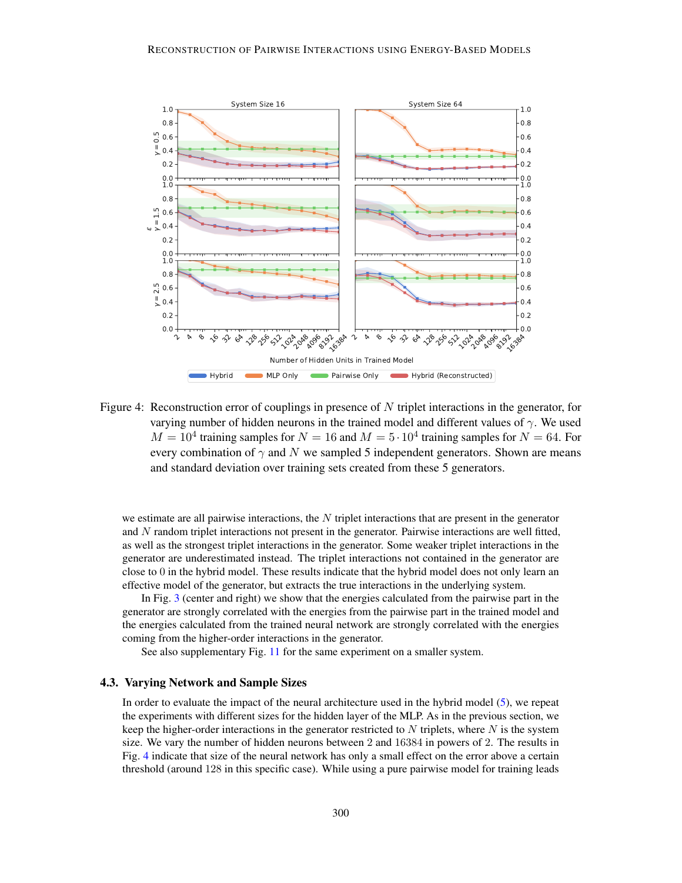

<span id="page-9-0"></span>Figure 4: Reconstruction error of couplings in presence of N triplet interactions in the generator, for varying number of hidden neurons in the trained model and different values of  $\gamma$ . We used  $M = 10^4$  training samples for  $N = 16$  and  $M = 5 \cdot 10^4$  training samples for  $N = 64$ . For every combination of  $\gamma$  and N we sampled 5 independent generators. Shown are means and standard deviation over training sets created from these 5 generators.

we estimate are all pairwise interactions, the  $N$  triplet interactions that are present in the generator and N random triplet interactions not present in the generator. Pairwise interactions are well fitted, as well as the strongest triplet interactions in the generator. Some weaker triplet interactions in the generator are underestimated instead. The triplet interactions not contained in the generator are close to 0 in the hybrid model. These results indicate that the hybrid model does not only learn an effective model of the generator, but extracts the true interactions in the underlying system.

In Fig. [3](#page-8-0) (center and right) we show that the energies calculated from the pairwise part in the generator are strongly correlated with the energies from the pairwise part in the trained model and the energies calculated from the trained neural network are strongly correlated with the energies coming from the higher-order interactions in the generator.

See also supplementary Fig. [11](#page-23-0) for the same experiment on a smaller system.

#### 4.3. Varying Network and Sample Sizes

In order to evaluate the impact of the neural architecture used in the hybrid model [\(5\)](#page-3-2), we repeat the experiments with different sizes for the hidden layer of the MLP. As in the previous section, we keep the higher-order interactions in the generator restricted to N triplets, where N is the system size. We vary the number of hidden neurons between 2 and 16384 in powers of 2. The results in Fig. [4](#page-9-0) indicate that size of the neural network has only a small effect on the error above a certain threshold (around 128 in this specific case). While using a pure pairwise model for training leads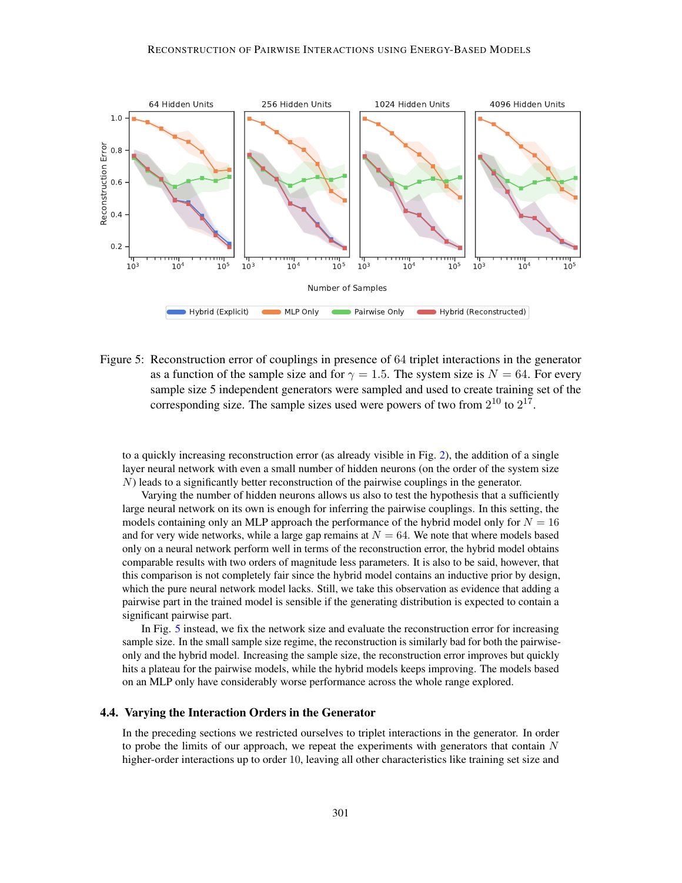

<span id="page-10-0"></span>Figure 5: Reconstruction error of couplings in presence of 64 triplet interactions in the generator as a function of the sample size and for  $\gamma = 1.5$ . The system size is  $N = 64$ . For every sample size 5 independent generators were sampled and used to create training set of the corresponding size. The sample sizes used were powers of two from  $2^{10}$  to  $2^{17}$ .

to a quickly increasing reconstruction error (as already visible in Fig. [2\)](#page-7-0), the addition of a single layer neural network with even a small number of hidden neurons (on the order of the system size  $N$ ) leads to a significantly better reconstruction of the pairwise couplings in the generator.

Varying the number of hidden neurons allows us also to test the hypothesis that a sufficiently large neural network on its own is enough for inferring the pairwise couplings. In this setting, the models containing only an MLP approach the performance of the hybrid model only for  $N = 16$ and for very wide networks, while a large gap remains at  $N = 64$ . We note that where models based only on a neural network perform well in terms of the reconstruction error, the hybrid model obtains comparable results with two orders of magnitude less parameters. It is also to be said, however, that this comparison is not completely fair since the hybrid model contains an inductive prior by design, which the pure neural network model lacks. Still, we take this observation as evidence that adding a pairwise part in the trained model is sensible if the generating distribution is expected to contain a significant pairwise part.

In Fig. [5](#page-10-0) instead, we fix the network size and evaluate the reconstruction error for increasing sample size. In the small sample size regime, the reconstruction is similarly bad for both the pairwiseonly and the hybrid model. Increasing the sample size, the reconstruction error improves but quickly hits a plateau for the pairwise models, while the hybrid models keeps improving. The models based on an MLP only have considerably worse performance across the whole range explored.

# 4.4. Varying the Interaction Orders in the Generator

In the preceding sections we restricted ourselves to triplet interactions in the generator. In order to probe the limits of our approach, we repeat the experiments with generators that contain  $N$ higher-order interactions up to order 10, leaving all other characteristics like training set size and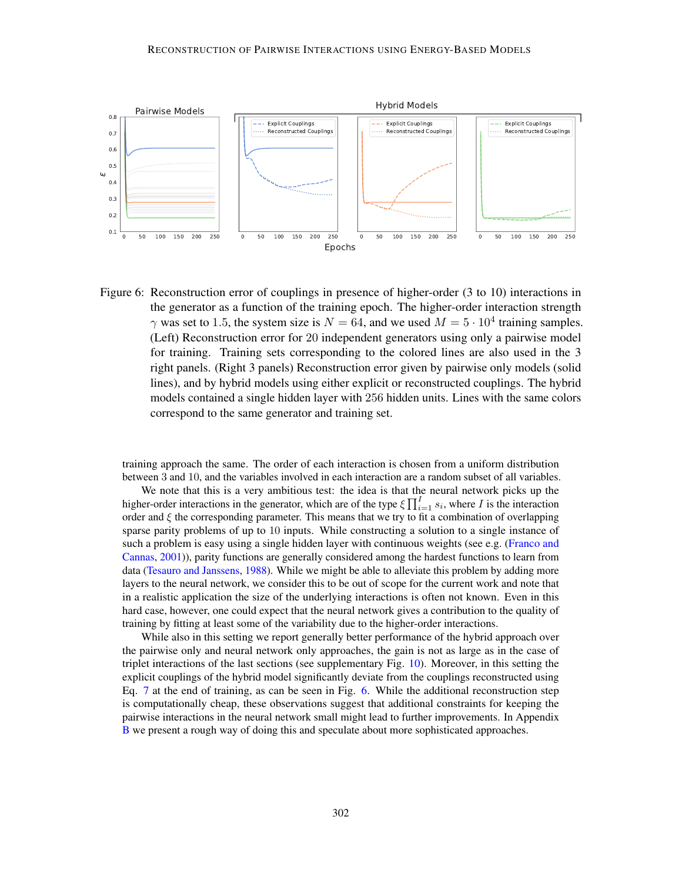

<span id="page-11-0"></span>Figure 6: Reconstruction error of couplings in presence of higher-order (3 to 10) interactions in the generator as a function of the training epoch. The higher-order interaction strength  $\gamma$  was set to 1.5, the system size is  $N = 64$ , and we used  $M = 5 \cdot 10^4$  training samples. (Left) Reconstruction error for 20 independent generators using only a pairwise model for training. Training sets corresponding to the colored lines are also used in the 3 right panels. (Right 3 panels) Reconstruction error given by pairwise only models (solid lines), and by hybrid models using either explicit or reconstructed couplings. The hybrid models contained a single hidden layer with 256 hidden units. Lines with the same colors correspond to the same generator and training set.

training approach the same. The order of each interaction is chosen from a uniform distribution between 3 and 10, and the variables involved in each interaction are a random subset of all variables.

We note that this is a very ambitious test: the idea is that the neural network picks up the higher-order interactions in the generator, which are of the type  $\zeta \prod_{i=1}^{I} s_i$ , where I is the interaction order and  $\xi$  the corresponding parameter. This means that we try to fit a combination of overlapping sparse parity problems of up to 10 inputs. While constructing a solution to a single instance of such a problem is easy using a single hidden layer with continuous weights (see e.g. [\(Franco and](#page-13-13) [Cannas,](#page-13-13) [2001\)](#page-13-13)), parity functions are generally considered among the hardest functions to learn from data [\(Tesauro and Janssens,](#page-15-13) [1988\)](#page-15-13). While we might be able to alleviate this problem by adding more layers to the neural network, we consider this to be out of scope for the current work and note that in a realistic application the size of the underlying interactions is often not known. Even in this hard case, however, one could expect that the neural network gives a contribution to the quality of training by fitting at least some of the variability due to the higher-order interactions.

While also in this setting we report generally better performance of the hybrid approach over the pairwise only and neural network only approaches, the gain is not as large as in the case of triplet interactions of the last sections (see supplementary Fig. [10\)](#page-22-1). Moreover, in this setting the explicit couplings of the hybrid model significantly deviate from the couplings reconstructed using Eq. [7](#page-4-1) at the end of training, as can be seen in Fig. [6.](#page-11-0) While the additional reconstruction step is computationally cheap, these observations suggest that additional constraints for keeping the pairwise interactions in the neural network small might lead to further improvements. In Appendix [B](#page-17-0) we present a rough way of doing this and speculate about more sophisticated approaches.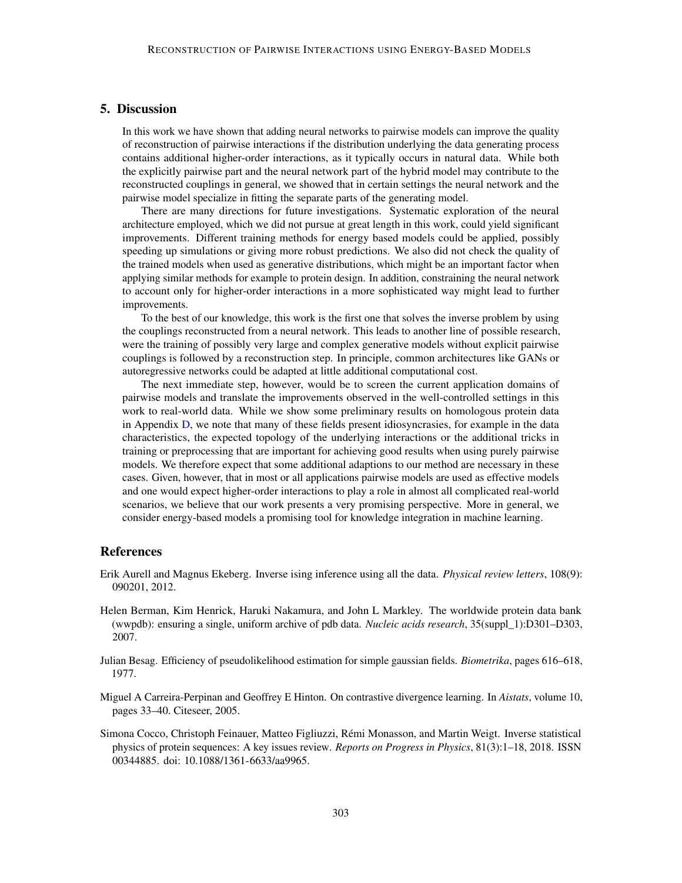# 5. Discussion

In this work we have shown that adding neural networks to pairwise models can improve the quality of reconstruction of pairwise interactions if the distribution underlying the data generating process contains additional higher-order interactions, as it typically occurs in natural data. While both the explicitly pairwise part and the neural network part of the hybrid model may contribute to the reconstructed couplings in general, we showed that in certain settings the neural network and the pairwise model specialize in fitting the separate parts of the generating model.

There are many directions for future investigations. Systematic exploration of the neural architecture employed, which we did not pursue at great length in this work, could yield significant improvements. Different training methods for energy based models could be applied, possibly speeding up simulations or giving more robust predictions. We also did not check the quality of the trained models when used as generative distributions, which might be an important factor when applying similar methods for example to protein design. In addition, constraining the neural network to account only for higher-order interactions in a more sophisticated way might lead to further improvements.

To the best of our knowledge, this work is the first one that solves the inverse problem by using the couplings reconstructed from a neural network. This leads to another line of possible research, were the training of possibly very large and complex generative models without explicit pairwise couplings is followed by a reconstruction step. In principle, common architectures like GANs or autoregressive networks could be adapted at little additional computational cost.

The next immediate step, however, would be to screen the current application domains of pairwise models and translate the improvements observed in the well-controlled settings in this work to real-world data. While we show some preliminary results on homologous protein data in Appendix [D,](#page-19-0) we note that many of these fields present idiosyncrasies, for example in the data characteristics, the expected topology of the underlying interactions or the additional tricks in training or preprocessing that are important for achieving good results when using purely pairwise models. We therefore expect that some additional adaptions to our method are necessary in these cases. Given, however, that in most or all applications pairwise models are used as effective models and one would expect higher-order interactions to play a role in almost all complicated real-world scenarios, we believe that our work presents a very promising perspective. More in general, we consider energy-based models a promising tool for knowledge integration in machine learning.

# References

- <span id="page-12-3"></span>Erik Aurell and Magnus Ekeberg. Inverse ising inference using all the data. *Physical review letters*, 108(9): 090201, 2012.
- <span id="page-12-4"></span>Helen Berman, Kim Henrick, Haruki Nakamura, and John L Markley. The worldwide protein data bank (wwpdb): ensuring a single, uniform archive of pdb data. *Nucleic acids research*, 35(suppl\_1):D301–D303, 2007.
- <span id="page-12-2"></span>Julian Besag. Efficiency of pseudolikelihood estimation for simple gaussian fields. *Biometrika*, pages 616–618, 1977.
- <span id="page-12-1"></span>Miguel A Carreira-Perpinan and Geoffrey E Hinton. On contrastive divergence learning. In *Aistats*, volume 10, pages 33–40. Citeseer, 2005.
- <span id="page-12-0"></span>Simona Cocco, Christoph Feinauer, Matteo Figliuzzi, Rémi Monasson, and Martin Weigt. Inverse statistical physics of protein sequences: A key issues review. *Reports on Progress in Physics*, 81(3):1–18, 2018. ISSN 00344885. doi: 10.1088/1361-6633/aa9965.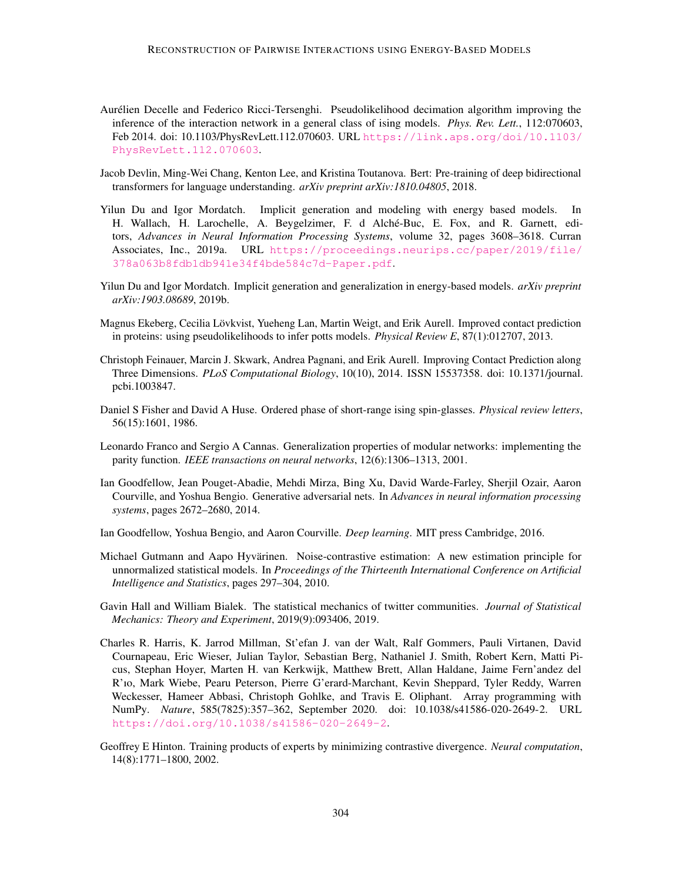- <span id="page-13-10"></span>Aurélien Decelle and Federico Ricci-Tersenghi. Pseudolikelihood decimation algorithm improving the inference of the interaction network in a general class of ising models. *Phys. Rev. Lett.*, 112:070603, Feb 2014. doi: 10.1103/PhysRevLett.112.070603. URL [https://link.aps.org/doi/10.1103/](https://link.aps.org/doi/10.1103/PhysRevLett.112.070603) [PhysRevLett.112.070603](https://link.aps.org/doi/10.1103/PhysRevLett.112.070603).
- <span id="page-13-11"></span>Jacob Devlin, Ming-Wei Chang, Kenton Lee, and Kristina Toutanova. Bert: Pre-training of deep bidirectional transformers for language understanding. *arXiv preprint arXiv:1810.04805*, 2018.
- <span id="page-13-7"></span>Yilun Du and Igor Mordatch. Implicit generation and modeling with energy based models. In H. Wallach, H. Larochelle, A. Beygelzimer, F. d Alché-Buc, E. Fox, and R. Garnett, editors, *Advances in Neural Information Processing Systems*, volume 32, pages 3608–3618. Curran Associates, Inc., 2019a. URL [https://proceedings.neurips.cc/paper/2019/file/](https://proceedings.neurips.cc/paper/2019/file/378a063b8fdb1db941e34f4bde584c7d-Paper.pdf) [378a063b8fdb1db941e34f4bde584c7d-Paper.pdf](https://proceedings.neurips.cc/paper/2019/file/378a063b8fdb1db941e34f4bde584c7d-Paper.pdf).
- <span id="page-13-3"></span>Yilun Du and Igor Mordatch. Implicit generation and generalization in energy-based models. *arXiv preprint arXiv:1903.08689*, 2019b.
- <span id="page-13-9"></span>Magnus Ekeberg, Cecilia Lövkvist, Yueheng Lan, Martin Weigt, and Erik Aurell. Improved contact prediction in proteins: using pseudolikelihoods to infer potts models. *Physical Review E*, 87(1):012707, 2013.
- <span id="page-13-2"></span>Christoph Feinauer, Marcin J. Skwark, Andrea Pagnani, and Erik Aurell. Improving Contact Prediction along Three Dimensions. *PLoS Computational Biology*, 10(10), 2014. ISSN 15537358. doi: 10.1371/journal. pcbi.1003847.
- <span id="page-13-0"></span>Daniel S Fisher and David A Huse. Ordered phase of short-range ising spin-glasses. *Physical review letters*, 56(15):1601, 1986.
- <span id="page-13-13"></span>Leonardo Franco and Sergio A Cannas. Generalization properties of modular networks: implementing the parity function. *IEEE transactions on neural networks*, 12(6):1306–1313, 2001.
- <span id="page-13-4"></span>Ian Goodfellow, Jean Pouget-Abadie, Mehdi Mirza, Bing Xu, David Warde-Farley, Sherjil Ozair, Aaron Courville, and Yoshua Bengio. Generative adversarial nets. In *Advances in neural information processing systems*, pages 2672–2680, 2014.
- <span id="page-13-6"></span>Ian Goodfellow, Yoshua Bengio, and Aaron Courville. *Deep learning*. MIT press Cambridge, 2016.
- <span id="page-13-8"></span>Michael Gutmann and Aapo Hyvärinen. Noise-contrastive estimation: A new estimation principle for unnormalized statistical models. In *Proceedings of the Thirteenth International Conference on Artificial Intelligence and Statistics*, pages 297–304, 2010.
- <span id="page-13-1"></span>Gavin Hall and William Bialek. The statistical mechanics of twitter communities. *Journal of Statistical Mechanics: Theory and Experiment*, 2019(9):093406, 2019.
- <span id="page-13-12"></span>Charles R. Harris, K. Jarrod Millman, St'efan J. van der Walt, Ralf Gommers, Pauli Virtanen, David Cournapeau, Eric Wieser, Julian Taylor, Sebastian Berg, Nathaniel J. Smith, Robert Kern, Matti Picus, Stephan Hoyer, Marten H. van Kerkwijk, Matthew Brett, Allan Haldane, Jaime Fern'andez del R'ıo, Mark Wiebe, Pearu Peterson, Pierre G'erard-Marchant, Kevin Sheppard, Tyler Reddy, Warren Weckesser, Hameer Abbasi, Christoph Gohlke, and Travis E. Oliphant. Array programming with NumPy. *Nature*, 585(7825):357–362, September 2020. doi: 10.1038/s41586-020-2649-2. URL <https://doi.org/10.1038/s41586-020-2649-2>.
- <span id="page-13-5"></span>Geoffrey E Hinton. Training products of experts by minimizing contrastive divergence. *Neural computation*, 14(8):1771–1800, 2002.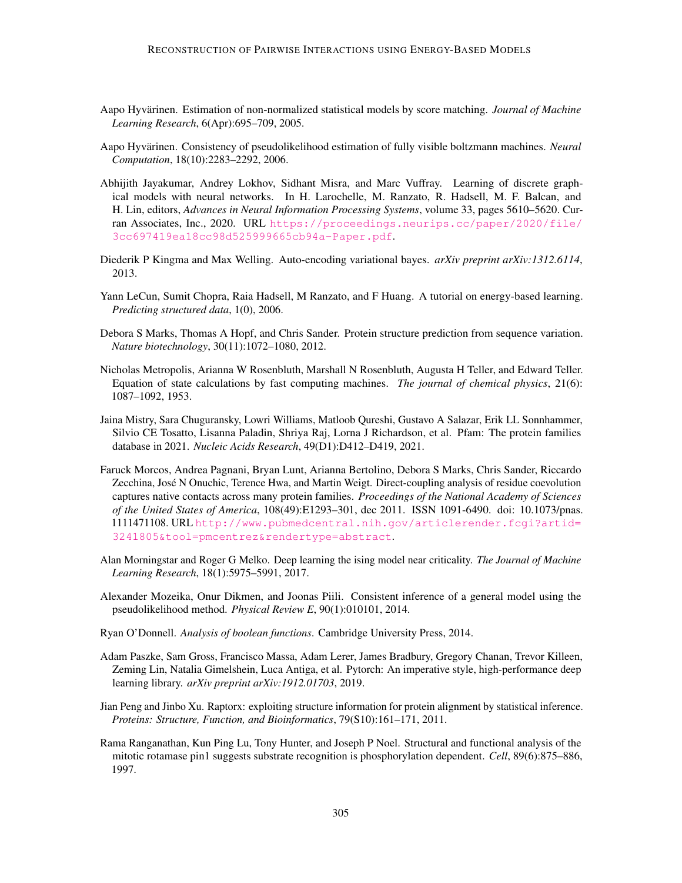- <span id="page-14-8"></span>Aapo Hyvärinen. Estimation of non-normalized statistical models by score matching. *Journal of Machine Learning Research*, 6(Apr):695–709, 2005.
- <span id="page-14-11"></span>Aapo Hyvärinen. Consistency of pseudolikelihood estimation of fully visible boltzmann machines. *Neural Computation*, 18(10):2283–2292, 2006.
- <span id="page-14-9"></span>Abhijith Jayakumar, Andrey Lokhov, Sidhant Misra, and Marc Vuffray. Learning of discrete graphical models with neural networks. In H. Larochelle, M. Ranzato, R. Hadsell, M. F. Balcan, and H. Lin, editors, *Advances in Neural Information Processing Systems*, volume 33, pages 5610–5620. Curran Associates, Inc., 2020. URL [https://proceedings.neurips.cc/paper/2020/file/](https://proceedings.neurips.cc/paper/2020/file/3cc697419ea18cc98d525999665cb94a-Paper.pdf) [3cc697419ea18cc98d525999665cb94a-Paper.pdf](https://proceedings.neurips.cc/paper/2020/file/3cc697419ea18cc98d525999665cb94a-Paper.pdf).
- <span id="page-14-4"></span>Diederik P Kingma and Max Welling. Auto-encoding variational bayes. *arXiv preprint arXiv:1312.6114*, 2013.
- <span id="page-14-3"></span>Yann LeCun, Sumit Chopra, Raia Hadsell, M Ranzato, and F Huang. A tutorial on energy-based learning. *Predicting structured data*, 1(0), 2006.
- <span id="page-14-1"></span>Debora S Marks, Thomas A Hopf, and Chris Sander. Protein structure prediction from sequence variation. *Nature biotechnology*, 30(11):1072–1080, 2012.
- <span id="page-14-5"></span>Nicholas Metropolis, Arianna W Rosenbluth, Marshall N Rosenbluth, Augusta H Teller, and Edward Teller. Equation of state calculations by fast computing machines. *The journal of chemical physics*, 21(6): 1087–1092, 1953.
- <span id="page-14-13"></span>Jaina Mistry, Sara Chuguransky, Lowri Williams, Matloob Qureshi, Gustavo A Salazar, Erik LL Sonnhammer, Silvio CE Tosatto, Lisanna Paladin, Shriya Raj, Lorna J Richardson, et al. Pfam: The protein families database in 2021. *Nucleic Acids Research*, 49(D1):D412–D419, 2021.
- <span id="page-14-0"></span>Faruck Morcos, Andrea Pagnani, Bryan Lunt, Arianna Bertolino, Debora S Marks, Chris Sander, Riccardo Zecchina, José N Onuchic, Terence Hwa, and Martin Weigt. Direct-coupling analysis of residue coevolution captures native contacts across many protein families. *Proceedings of the National Academy of Sciences of the United States of America*, 108(49):E1293–301, dec 2011. ISSN 1091-6490. doi: 10.1073/pnas. 1111471108. URL [http://www.pubmedcentral.nih.gov/articlerender.fcgi?artid=](http://www.pubmedcentral.nih.gov/articlerender.fcgi?artid=3241805&tool=pmcentrez&rendertype=abstract) [3241805&tool=pmcentrez&rendertype=abstract](http://www.pubmedcentral.nih.gov/articlerender.fcgi?artid=3241805&tool=pmcentrez&rendertype=abstract).
- <span id="page-14-7"></span>Alan Morningstar and Roger G Melko. Deep learning the ising model near criticality. *The Journal of Machine Learning Research*, 18(1):5975–5991, 2017.
- <span id="page-14-12"></span>Alexander Mozeika, Onur Dikmen, and Joonas Piili. Consistent inference of a general model using the pseudolikelihood method. *Physical Review E*, 90(1):010101, 2014.
- <span id="page-14-6"></span>Ryan O'Donnell. *Analysis of boolean functions*. Cambridge University Press, 2014.
- <span id="page-14-10"></span>Adam Paszke, Sam Gross, Francisco Massa, Adam Lerer, James Bradbury, Gregory Chanan, Trevor Killeen, Zeming Lin, Natalia Gimelshein, Luca Antiga, et al. Pytorch: An imperative style, high-performance deep learning library. *arXiv preprint arXiv:1912.01703*, 2019.
- <span id="page-14-2"></span>Jian Peng and Jinbo Xu. Raptorx: exploiting structure information for protein alignment by statistical inference. *Proteins: Structure, Function, and Bioinformatics*, 79(S10):161–171, 2011.
- <span id="page-14-14"></span>Rama Ranganathan, Kun Ping Lu, Tony Hunter, and Joseph P Noel. Structural and functional analysis of the mitotic rotamase pin1 suggests substrate recognition is phosphorylation dependent. *Cell*, 89(6):875–886, 1997.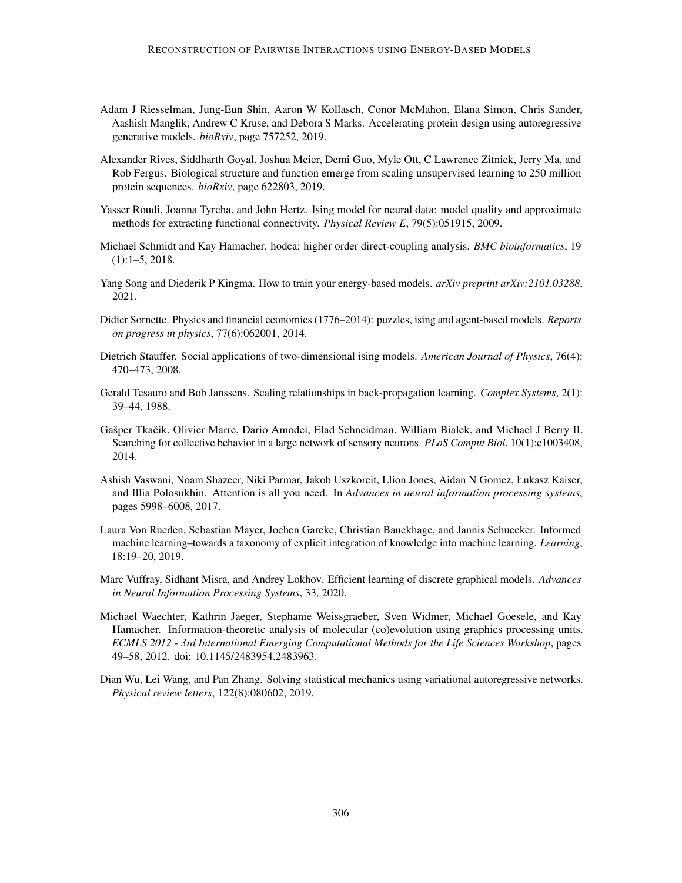- <span id="page-15-6"></span>Adam J Riesselman, Jung-Eun Shin, Aaron W Kollasch, Conor McMahon, Elana Simon, Chris Sander, Aashish Manglik, Andrew C Kruse, and Debora S Marks. Accelerating protein design using autoregressive generative models. *bioRxiv*, page 757252, 2019.
- <span id="page-15-7"></span>Alexander Rives, Siddharth Goyal, Joshua Meier, Demi Guo, Myle Ott, C Lawrence Zitnick, Jerry Ma, and Rob Fergus. Biological structure and function emerge from scaling unsupervised learning to 250 million protein sequences. *bioRxiv*, page 622803, 2019.
- <span id="page-15-0"></span>Yasser Roudi, Joanna Tyrcha, and John Hertz. Ising model for neural data: model quality and approximate methods for extracting functional connectivity. *Physical Review E*, 79(5):051915, 2009.
- <span id="page-15-5"></span>Michael Schmidt and Kay Hamacher. hodca: higher order direct-coupling analysis. *BMC bioinformatics*, 19 (1):1–5, 2018.
- <span id="page-15-9"></span>Yang Song and Diederik P Kingma. How to train your energy-based models. *arXiv preprint arXiv:2101.03288*, 2021.
- <span id="page-15-3"></span>Didier Sornette. Physics and financial economics (1776–2014): puzzles, ising and agent-based models. *Reports on progress in physics*, 77(6):062001, 2014.
- <span id="page-15-2"></span>Dietrich Stauffer. Social applications of two-dimensional ising models. *American Journal of Physics*, 76(4): 470–473, 2008.
- <span id="page-15-13"></span>Gerald Tesauro and Bob Janssens. Scaling relationships in back-propagation learning. *Complex Systems*, 2(1): 39–44, 1988.
- <span id="page-15-1"></span>Gašper Tkačik, Olivier Marre, Dario Amodei, Elad Schneidman, William Bialek, and Michael J Berry II. Searching for collective behavior in a large network of sensory neurons. *PLoS Comput Biol*, 10(1):e1003408, 2014.
- <span id="page-15-10"></span>Ashish Vaswani, Noam Shazeer, Niki Parmar, Jakob Uszkoreit, Llion Jones, Aidan N Gomez, Łukasz Kaiser, and Illia Polosukhin. Attention is all you need. In *Advances in neural information processing systems*, pages 5998–6008, 2017.
- <span id="page-15-8"></span>Laura Von Rueden, Sebastian Mayer, Jochen Garcke, Christian Bauckhage, and Jannis Schuecker. Informed machine learning–towards a taxonomy of explicit integration of knowledge into machine learning. *Learning*, 18:19–20, 2019.
- <span id="page-15-12"></span>Marc Vuffray, Sidhant Misra, and Andrey Lokhov. Efficient learning of discrete graphical models. *Advances in Neural Information Processing Systems*, 33, 2020.
- <span id="page-15-4"></span>Michael Waechter, Kathrin Jaeger, Stephanie Weissgraeber, Sven Widmer, Michael Goesele, and Kay Hamacher. Information-theoretic analysis of molecular (co)evolution using graphics processing units. *ECMLS 2012 - 3rd International Emerging Computational Methods for the Life Sciences Workshop*, pages 49–58, 2012. doi: 10.1145/2483954.2483963.
- <span id="page-15-11"></span>Dian Wu, Lei Wang, and Pan Zhang. Solving statistical mechanics using variational autoregressive networks. *Physical review letters*, 122(8):080602, 2019.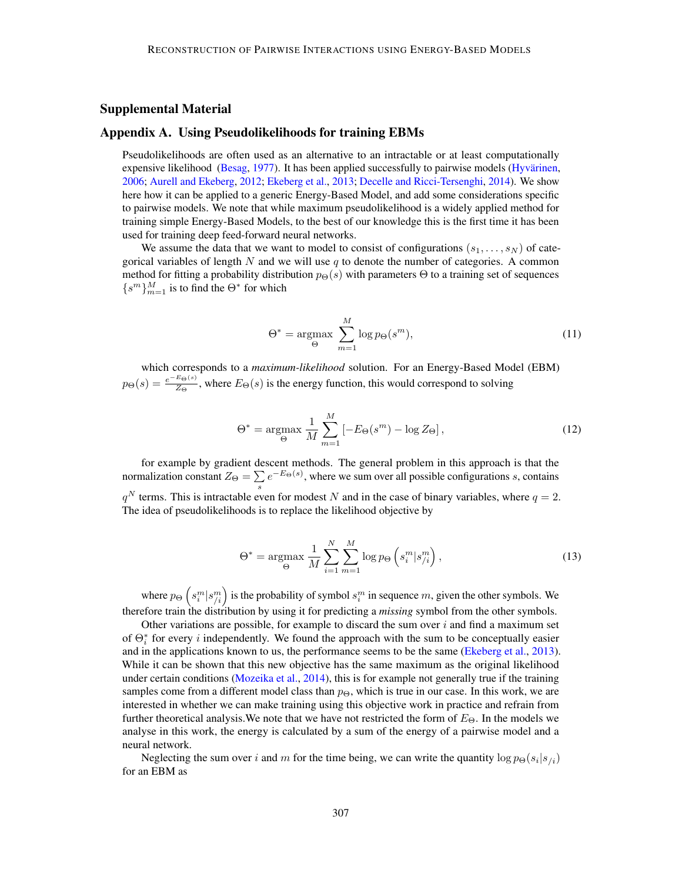# Supplemental Material

# <span id="page-16-0"></span>Appendix A. Using Pseudolikelihoods for training EBMs

Pseudolikelihoods are often used as an alternative to an intractable or at least computationally expensive likelihood [\(Besag,](#page-12-2) [1977\)](#page-12-2). It has been applied successfully to pairwise models [\(Hyvärinen,](#page-14-11) [2006;](#page-14-11) [Aurell and Ekeberg,](#page-12-3) [2012;](#page-12-3) [Ekeberg et al.,](#page-13-9) [2013;](#page-13-9) [Decelle and Ricci-Tersenghi,](#page-13-10) [2014\)](#page-13-10). We show here how it can be applied to a generic Energy-Based Model, and add some considerations specific to pairwise models. We note that while maximum pseudolikelihood is a widely applied method for training simple Energy-Based Models, to the best of our knowledge this is the first time it has been used for training deep feed-forward neural networks.

We assume the data that we want to model to consist of configurations  $(s_1, \ldots, s_N)$  of categorical variables of length N and we will use q to denote the number of categories. A common method for fitting a probability distribution  $p_{\Theta}(s)$  with parameters  $\Theta$  to a training set of sequences  $\{s^m\}_{m=1}^M$  is to find the  $\Theta^*$  for which

$$
\Theta^* = \underset{\Theta}{\operatorname{argmax}} \sum_{m=1}^{M} \log p_{\Theta}(s^m), \tag{11}
$$

which corresponds to a *maximum-likelihood* solution. For an Energy-Based Model (EBM)  $p_{\Theta}(s) = \frac{e^{-E_{\Theta}(s)}}{Z_{\Theta}}$  $\frac{E_{\Theta}(s)}{Z_{\Theta}}$ , where  $E_{\Theta}(s)$  is the energy function, this would correspond to solving

$$
\Theta^* = \underset{\Theta}{\operatorname{argmax}} \frac{1}{M} \sum_{m=1}^{M} \left[ -E_{\Theta}(s^m) - \log Z_{\Theta} \right],\tag{12}
$$

for example by gradient descent methods. The general problem in this approach is that the normalization constant  $Z_{\Theta} = \sum$  $\sum_{s} e^{-E_{\Theta}(s)}$ , where we sum over all possible configurations s, contains  $q^N$  terms. This is intractable even for modest N and in the case of binary variables, where  $q = 2$ . The idea of pseudolikelihoods is to replace the likelihood objective by

$$
\Theta^* = \underset{\Theta}{\text{argmax}} \frac{1}{M} \sum_{i=1}^N \sum_{m=1}^M \log p_{\Theta} \left( s_i^m | s_{/i}^m \right), \tag{13}
$$

where  $p_{\Theta}\left(s_i^m | s_{i}^m\right)$  is the probability of symbol  $s_i^m$  in sequence m, given the other symbols. We therefore train the distribution by using it for predicting a *missing* symbol from the other symbols.

Other variations are possible, for example to discard the sum over  $i$  and find a maximum set of  $\Theta_i^*$  for every *i* independently. We found the approach with the sum to be conceptually easier and in the applications known to us, the performance seems to be the same [\(Ekeberg et al.,](#page-13-9) [2013\)](#page-13-9). While it can be shown that this new objective has the same maximum as the original likelihood under certain conditions [\(Mozeika et al.,](#page-14-12) [2014\)](#page-14-12), this is for example not generally true if the training samples come from a different model class than  $p_{\Theta}$ , which is true in our case. In this work, we are interested in whether we can make training using this objective work in practice and refrain from further theoretical analysis. We note that we have not restricted the form of  $E_{\Theta}$ . In the models we analyse in this work, the energy is calculated by a sum of the energy of a pairwise model and a neural network.

Neglecting the sum over i and m for the time being, we can write the quantity  $\log p_{\Theta}(s_i|s_{/i})$ for an EBM as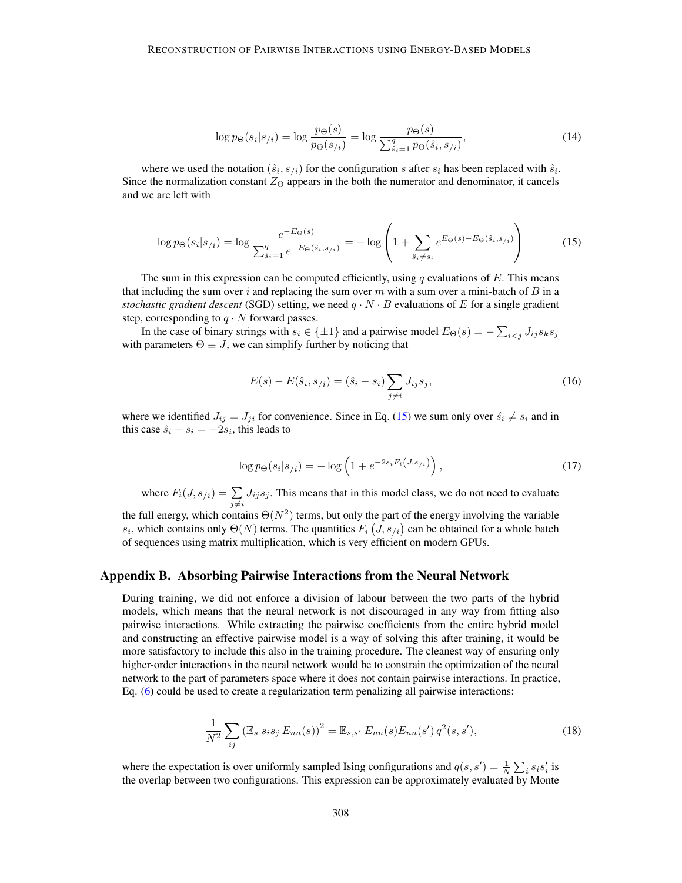$$
\log p_{\Theta}(s_i|s_{/i}) = \log \frac{p_{\Theta}(s)}{p_{\Theta}(s_{/i})} = \log \frac{p_{\Theta}(s)}{\sum_{\hat{s}_i=1}^q p_{\Theta}(\hat{s}_i, s_{/i})},
$$
(14)

where we used the notation  $(\hat{s}_i, s_{i})$  for the configuration s after  $s_i$  has been replaced with  $\hat{s}_i$ . Since the normalization constant  $Z_{\Theta}$  appears in the both the numerator and denominator, it cancels and we are left with

$$
\log p_{\Theta}(s_i|s_{/i}) = \log \frac{e^{-E_{\Theta}(s)}}{\sum_{\hat{s}_i=1}^q e^{-E_{\Theta}(\hat{s}_i, s_{/i})}} = -\log \left(1 + \sum_{\hat{s}_i \neq s_i} e^{E_{\Theta}(s) - E_{\Theta}(\hat{s}_i, s_{/i})}\right)
$$
(15)

The sum in this expression can be computed efficiently, using q evaluations of  $E$ . This means that including the sum over i and replacing the sum over m with a sum over a mini-batch of  $B$  in a *stochastic gradient descent* (SGD) setting, we need  $q \cdot N \cdot B$  evaluations of E for a single gradient step, corresponding to  $q \cdot N$  forward passes.

In the case of binary strings with  $s_i \in \{\pm 1\}$  and a pairwise model  $E_{\Theta}(s) = -\sum_{i \le j} J_{ij} s_k s_j$ with parameters  $\Theta \equiv J$ , we can simplify further by noticing that

<span id="page-17-1"></span>
$$
E(s) - E(\hat{s}_i, s_{/i}) = (\hat{s}_i - s_i) \sum_{j \neq i} J_{ij} s_j,
$$
\n(16)

where we identified  $J_{ij} = J_{ji}$  for convenience. Since in Eq. [\(15\)](#page-17-1) we sum only over  $\hat{s}_i \neq s_i$  and in this case  $\hat{s}_i - s_i = -2s_i$ , this leads to

$$
\log p_{\Theta}(s_i|s_{/i}) = -\log \left(1 + e^{-2s_i F_i(J, s_{/i})}\right),\tag{17}
$$

where  $F_i(J, s_{/i}) = \sum_{j \neq i} J_{ij} s_j$ . This means that in this model class, we do not need to evaluate

the full energy, which contains  $\Theta(N^2)$  terms, but only the part of the energy involving the variable  $s_i$ , which contains only  $\Theta(N)$  terms. The quantities  $F_i(J, s_{/i})$  can be obtained for a whole batch of sequences using matrix multiplication, which is very efficient on modern GPUs.

# <span id="page-17-0"></span>Appendix B. Absorbing Pairwise Interactions from the Neural Network

During training, we did not enforce a division of labour between the two parts of the hybrid models, which means that the neural network is not discouraged in any way from fitting also pairwise interactions. While extracting the pairwise coefficients from the entire hybrid model and constructing an effective pairwise model is a way of solving this after training, it would be more satisfactory to include this also in the training procedure. The cleanest way of ensuring only higher-order interactions in the neural network would be to constrain the optimization of the neural network to the part of parameters space where it does not contain pairwise interactions. In practice, Eq. [\(6\)](#page-3-1) could be used to create a regularization term penalizing all pairwise interactions:

$$
\frac{1}{N^2} \sum_{ij} \left( \mathbb{E}_s \, s_i s_j \, E_{nn}(s) \right)^2 = \mathbb{E}_{s,s'} \, E_{nn}(s) E_{nn}(s') \, q^2(s,s'), \tag{18}
$$

where the expectation is over uniformly sampled Ising configurations and  $q(s, s') = \frac{1}{N} \sum_i s_i s'_i$  is the overlap between two configurations. This expression can be approximately evaluated by Monte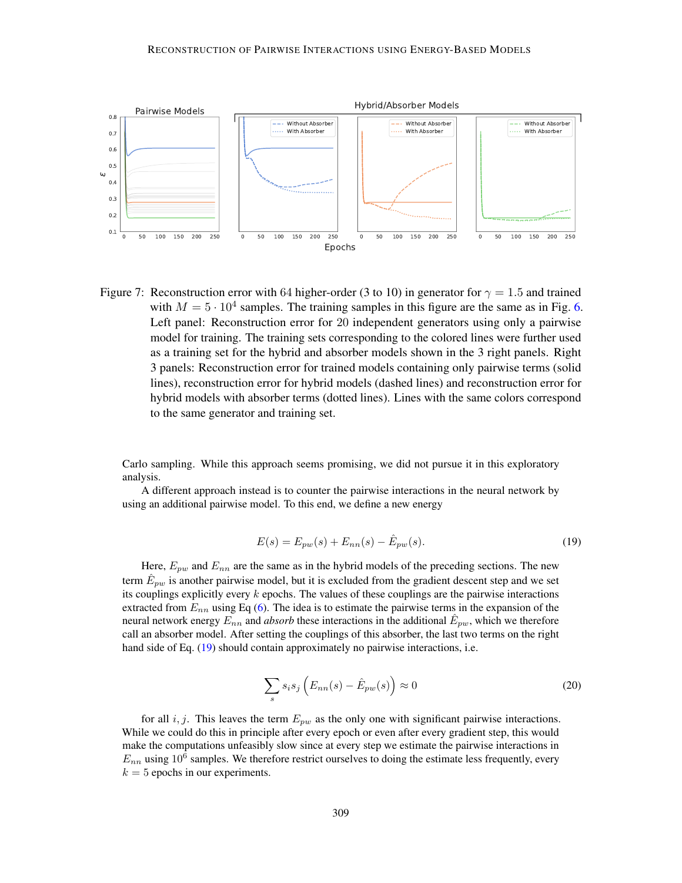

<span id="page-18-1"></span>Figure 7: Reconstruction error with 64 higher-order (3 to 10) in generator for  $\gamma = 1.5$  and trained with  $M = 5 \cdot 10^4$  samples. The training samples in this figure are the same as in Fig. [6.](#page-11-0) Left panel: Reconstruction error for 20 independent generators using only a pairwise model for training. The training sets corresponding to the colored lines were further used as a training set for the hybrid and absorber models shown in the 3 right panels. Right 3 panels: Reconstruction error for trained models containing only pairwise terms (solid lines), reconstruction error for hybrid models (dashed lines) and reconstruction error for hybrid models with absorber terms (dotted lines). Lines with the same colors correspond to the same generator and training set.

Carlo sampling. While this approach seems promising, we did not pursue it in this exploratory analysis.

A different approach instead is to counter the pairwise interactions in the neural network by using an additional pairwise model. To this end, we define a new energy

<span id="page-18-0"></span>
$$
E(s) = E_{pw}(s) + E_{nn}(s) - \hat{E}_{pw}(s).
$$
\n(19)

Here,  $E_{pw}$  and  $E_{nn}$  are the same as in the hybrid models of the preceding sections. The new term  $\hat{E}_{pw}$  is another pairwise model, but it is excluded from the gradient descent step and we set its couplings explicitly every  $k$  epochs. The values of these couplings are the pairwise interactions extracted from  $E_{nn}$  using Eq [\(6\)](#page-3-1). The idea is to estimate the pairwise terms in the expansion of the neural network energy  $E_{nn}$  and *absorb* these interactions in the additional  $\hat{E}_{pw}$ , which we therefore call an absorber model. After setting the couplings of this absorber, the last two terms on the right hand side of Eq. [\(19\)](#page-18-0) should contain approximately no pairwise interactions, i.e.

$$
\sum_{s} s_i s_j \left( E_{nn}(s) - \hat{E}_{pw}(s) \right) \approx 0 \tag{20}
$$

for all i, j. This leaves the term  $E_{pw}$  as the only one with significant pairwise interactions. While we could do this in principle after every epoch or even after every gradient step, this would make the computations unfeasibly slow since at every step we estimate the pairwise interactions in  $E_{nn}$  using 10<sup>6</sup> samples. We therefore restrict ourselves to doing the estimate less frequently, every  $k = 5$  epochs in our experiments.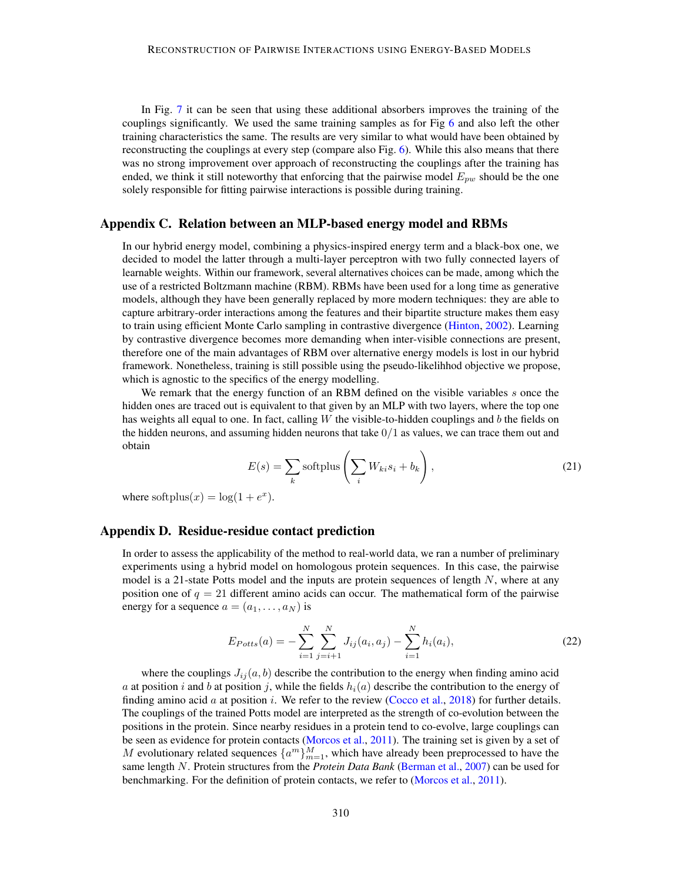In Fig. [7](#page-18-1) it can be seen that using these additional absorbers improves the training of the couplings significantly. We used the same training samples as for Fig [6](#page-11-0) and also left the other training characteristics the same. The results are very similar to what would have been obtained by reconstructing the couplings at every step (compare also Fig. [6\)](#page-11-0). While this also means that there was no strong improvement over approach of reconstructing the couplings after the training has ended, we think it still noteworthy that enforcing that the pairwise model  $E_{pw}$  should be the one solely responsible for fitting pairwise interactions is possible during training.

# Appendix C. Relation between an MLP-based energy model and RBMs

In our hybrid energy model, combining a physics-inspired energy term and a black-box one, we decided to model the latter through a multi-layer perceptron with two fully connected layers of learnable weights. Within our framework, several alternatives choices can be made, among which the use of a restricted Boltzmann machine (RBM). RBMs have been used for a long time as generative models, although they have been generally replaced by more modern techniques: they are able to capture arbitrary-order interactions among the features and their bipartite structure makes them easy to train using efficient Monte Carlo sampling in contrastive divergence [\(Hinton,](#page-13-5) [2002\)](#page-13-5). Learning by contrastive divergence becomes more demanding when inter-visible connections are present, therefore one of the main advantages of RBM over alternative energy models is lost in our hybrid framework. Nonetheless, training is still possible using the pseudo-likelihhod objective we propose, which is agnostic to the specifics of the energy modelling.

We remark that the energy function of an RBM defined on the visible variables s once the hidden ones are traced out is equivalent to that given by an MLP with two layers, where the top one has weights all equal to one. In fact, calling  $W$  the visible-to-hidden couplings and  $b$  the fields on the hidden neurons, and assuming hidden neurons that take  $0/1$  as values, we can trace them out and obtain

$$
E(s) = \sum_{k} \text{softplus} \left( \sum_{i} W_{ki} s_i + b_k \right), \tag{21}
$$

where softplus(x) =  $\log(1 + e^x)$ .

# <span id="page-19-0"></span>Appendix D. Residue-residue contact prediction

In order to assess the applicability of the method to real-world data, we ran a number of preliminary experiments using a hybrid model on homologous protein sequences. In this case, the pairwise model is a 21-state Potts model and the inputs are protein sequences of length  $N$ , where at any position one of  $q = 21$  different amino acids can occur. The mathematical form of the pairwise energy for a sequence  $a = (a_1, \dots, a_N)$  is

$$
E_{Potts}(a) = -\sum_{i=1}^{N} \sum_{j=i+1}^{N} J_{ij}(a_i, a_j) - \sum_{i=1}^{N} h_i(a_i),
$$
\n(22)

where the couplings  $J_{ij}(a, b)$  describe the contribution to the energy when finding amino acid a at position i and b at position j, while the fields  $h_i(a)$  describe the contribution to the energy of finding amino acid a at position i. We refer to the review [\(Cocco et al.,](#page-12-0) [2018\)](#page-12-0) for further details. The couplings of the trained Potts model are interpreted as the strength of co-evolution between the positions in the protein. Since nearby residues in a protein tend to co-evolve, large couplings can be seen as evidence for protein contacts [\(Morcos et al.,](#page-14-0) [2011\)](#page-14-0). The training set is given by a set of M evolutionary related sequences  $\{a^m\}_{m=1}^M$ , which have already been preprocessed to have the same length N. Protein structures from the *Protein Data Bank* [\(Berman et al.,](#page-12-4) [2007\)](#page-12-4) can be used for benchmarking. For the definition of protein contacts, we refer to [\(Morcos et al.,](#page-14-0) [2011\)](#page-14-0).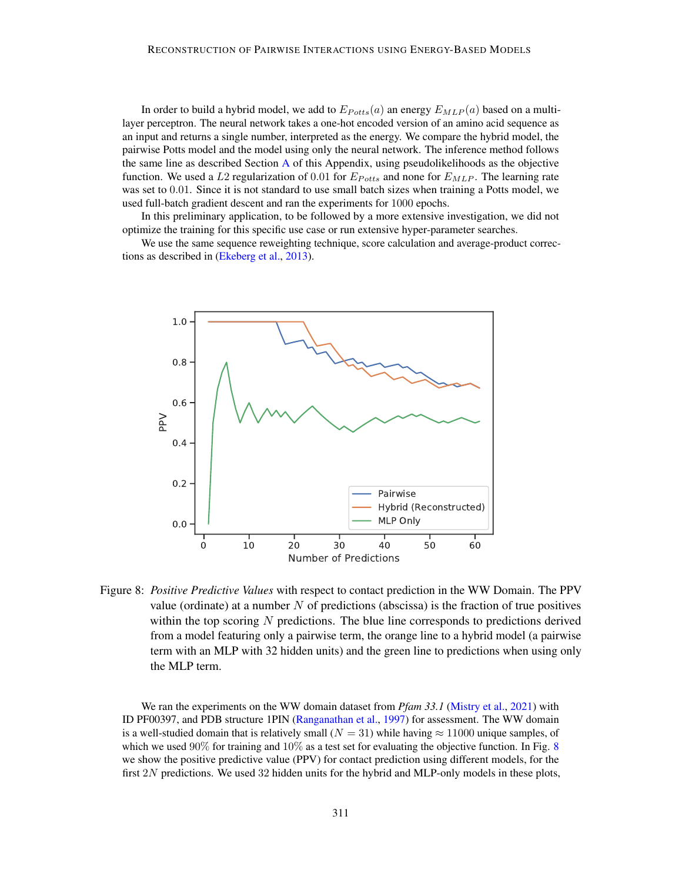In order to build a hybrid model, we add to  $E_{Potts}(a)$  an energy  $E_{MLP}(a)$  based on a multilayer perceptron. The neural network takes a one-hot encoded version of an amino acid sequence as an input and returns a single number, interpreted as the energy. We compare the hybrid model, the pairwise Potts model and the model using only the neural network. The inference method follows the same line as described Section [A](#page-16-0) of this Appendix, using pseudolikelihoods as the objective function. We used a L2 regularization of 0.01 for  $E_{Potts}$  and none for  $E_{MLP}$ . The learning rate was set to 0.01. Since it is not standard to use small batch sizes when training a Potts model, we used full-batch gradient descent and ran the experiments for 1000 epochs.

In this preliminary application, to be followed by a more extensive investigation, we did not optimize the training for this specific use case or run extensive hyper-parameter searches.

We use the same sequence reweighting technique, score calculation and average-product corrections as described in [\(Ekeberg et al.,](#page-13-9) [2013\)](#page-13-9).



<span id="page-20-0"></span>Figure 8: *Positive Predictive Values* with respect to contact prediction in the WW Domain. The PPV value (ordinate) at a number  $N$  of predictions (abscissa) is the fraction of true positives within the top scoring N predictions. The blue line corresponds to predictions derived from a model featuring only a pairwise term, the orange line to a hybrid model (a pairwise term with an MLP with 32 hidden units) and the green line to predictions when using only the MLP term.

We ran the experiments on the WW domain dataset from *Pfam 33.1* [\(Mistry et al.,](#page-14-13) [2021\)](#page-14-13) with ID PF00397, and PDB structure 1PIN [\(Ranganathan et al.,](#page-14-14) [1997\)](#page-14-14) for assessment. The WW domain is a well-studied domain that is relatively small ( $N = 31$ ) while having  $\approx 11000$  unique samples, of which we used  $90\%$  for training and  $10\%$  as a test set for evaluating the objective function. In Fig. [8](#page-20-0) we show the positive predictive value (PPV) for contact prediction using different models, for the first  $2N$  predictions. We used  $32$  hidden units for the hybrid and MLP-only models in these plots,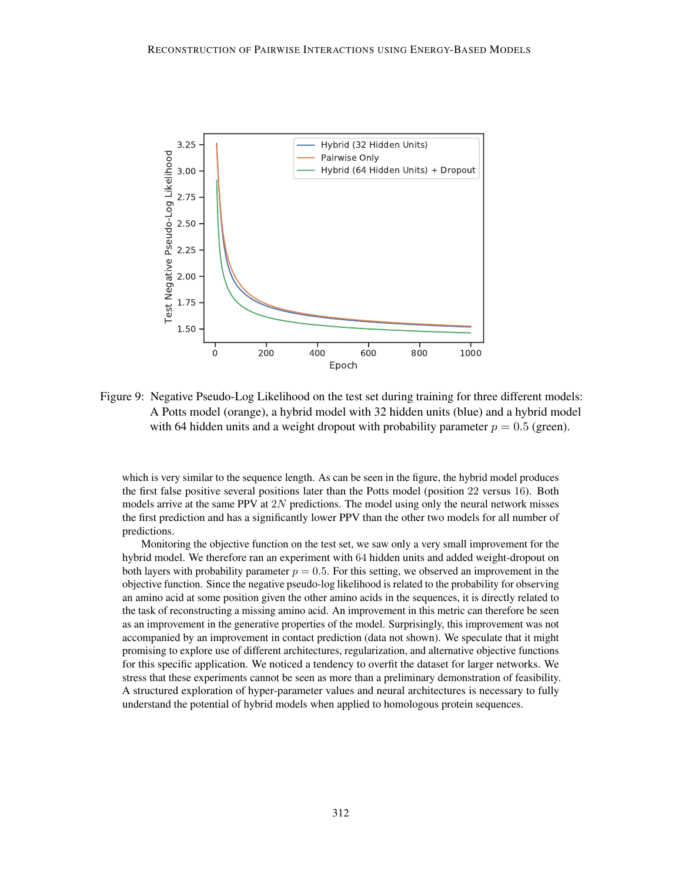

Figure 9: Negative Pseudo-Log Likelihood on the test set during training for three different models: A Potts model (orange), a hybrid model with 32 hidden units (blue) and a hybrid model with 64 hidden units and a weight dropout with probability parameter  $p = 0.5$  (green).

which is very similar to the sequence length. As can be seen in the figure, the hybrid model produces the first false positive several positions later than the Potts model (position 22 versus 16). Both models arrive at the same PPV at  $2N$  predictions. The model using only the neural network misses the first prediction and has a significantly lower PPV than the other two models for all number of predictions.

Monitoring the objective function on the test set, we saw only a very small improvement for the hybrid model. We therefore ran an experiment with 64 hidden units and added weight-dropout on both layers with probability parameter  $p = 0.5$ . For this setting, we observed an improvement in the objective function. Since the negative pseudo-log likelihood is related to the probability for observing an amino acid at some position given the other amino acids in the sequences, it is directly related to the task of reconstructing a missing amino acid. An improvement in this metric can therefore be seen as an improvement in the generative properties of the model. Surprisingly, this improvement was not accompanied by an improvement in contact prediction (data not shown). We speculate that it might promising to explore use of different architectures, regularization, and alternative objective functions for this specific application. We noticed a tendency to overfit the dataset for larger networks. We stress that these experiments cannot be seen as more than a preliminary demonstration of feasibility. A structured exploration of hyper-parameter values and neural architectures is necessary to fully understand the potential of hybrid models when applied to homologous protein sequences.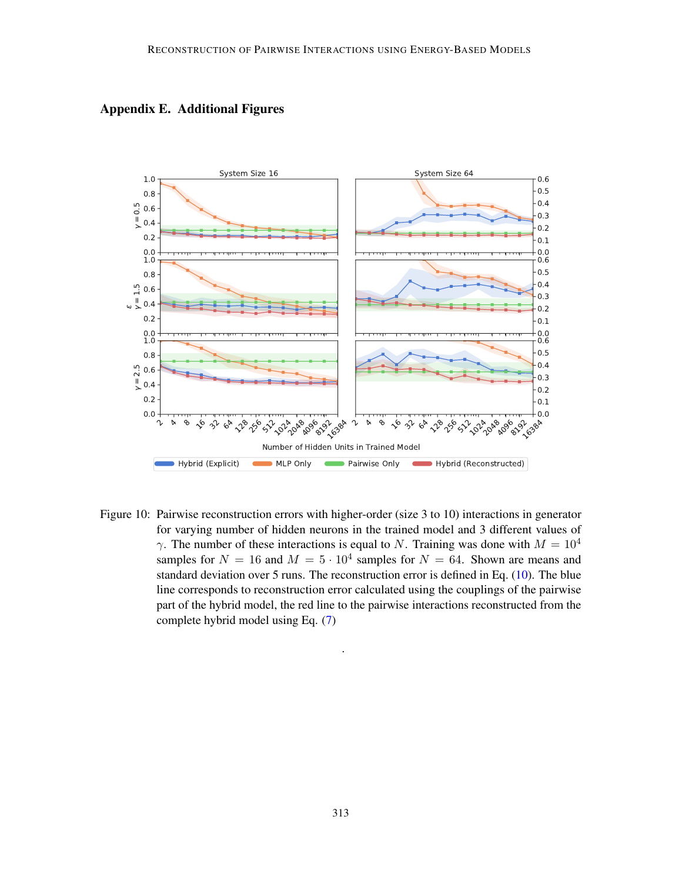

Appendix E. Additional Figures

<span id="page-22-0"></span>Figure 10: Pairwise reconstruction errors with higher-order (size 3 to 10) interactions in generator for varying number of hidden neurons in the trained model and 3 different values of  $\gamma$ . The number of these interactions is equal to N. Training was done with  $M = 10^4$ samples for  $N = 16$  and  $M = 5 \cdot 10^4$  samples for  $N = 64$ . Shown are means and standard deviation over 5 runs. The reconstruction error is defined in Eq. [\(10\)](#page-6-1). The blue line corresponds to reconstruction error calculated using the couplings of the pairwise part of the hybrid model, the red line to the pairwise interactions reconstructed from the complete hybrid model using Eq. [\(7\)](#page-4-1)

<span id="page-22-1"></span>.